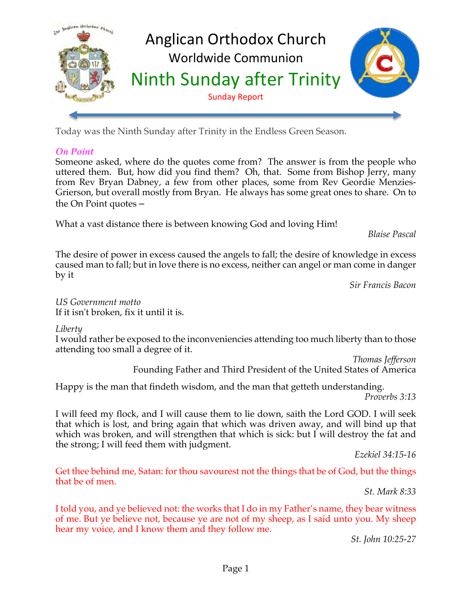

Today was the Ninth Sunday after Trinity in the Endless Green Season.

## *On Point*

Someone asked, where do the quotes come from? The answer is from the people who uttered them. But, how did you find them? Oh, that. Some from Bishop Jerry, many from Rev Bryan Dabney, a few from other places, some from Rev Geordie Menzies-Grierson, but overall mostly from Bryan. He always has some great ones to share. On to the On Point quotes –

What a vast distance there is between knowing God and loving Him!

*Blaise Pascal*

The desire of power in excess caused the angels to fall; the desire of knowledge in excess caused man to fall; but in love there is no excess, neither can angel or man come in danger by it

*Sir Francis Bacon*

*US Government motto* If it isn't broken, fix it until it is.

*Liberty*

I would rather be exposed to the inconveniencies attending too much liberty than to those attending too small a degree of it.

*Thomas Jefferson* Founding Father and Third President of the United States of America

Happy is the man that findeth wisdom, and the man that getteth understanding.

*Proverbs 3:13*

I will feed my flock, and I will cause them to lie down, saith the Lord GOD. I will seek that which is lost, and bring again that which was driven away, and will bind up that which was broken, and will strengthen that which is sick: but I will destroy the fat and the strong; I will feed them with judgment.

*Ezekiel 34:15-16*

Get thee behind me, Satan: for thou savourest not the things that be of God, but the things that be of men.

*St. Mark 8:33*

I told you, and ye believed not: the works that I do in my Father's name, they bear witness of me. But ye believe not, because ye are not of my sheep, as I said unto you. My sheep hear my voice, and I know them and they follow me.

*St. John 10:25-27*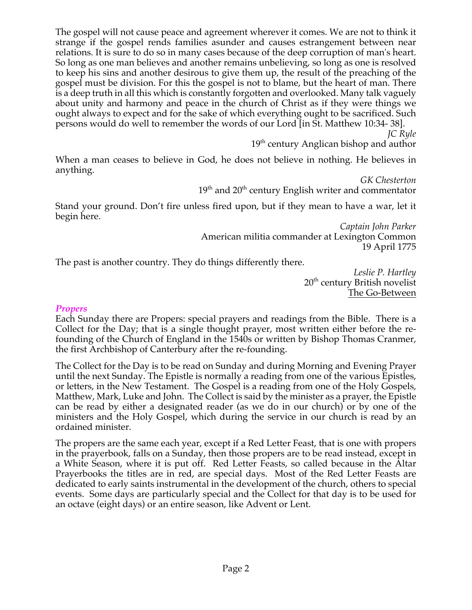The gospel will not cause peace and agreement wherever it comes. We are not to think it strange if the gospel rends families asunder and causes estrangement between near relations. It is sure to do so in many cases because of the deep corruption of man's heart. So long as one man believes and another remains unbelieving, so long as one is resolved to keep his sins and another desirous to give them up, the result of the preaching of the gospel must be division. For this the gospel is not to blame, but the heart of man. There is a deep truth in all this which is constantly forgotten and overlooked. Many talk vaguely about unity and harmony and peace in the church of Christ as if they were things we ought always to expect and for the sake of which everything ought to be sacrificed. Such persons would do well to remember the words of our Lord [in St. Matthew 10:34- 38].

*JC Ryle*

19<sup>th</sup> century Anglican bishop and author

When a man ceases to believe in God, he does not believe in nothing. He believes in anything.

*GK Chesterton*  $19<sup>th</sup>$  and  $20<sup>th</sup>$  century English writer and commentator

Stand your ground. Don't fire unless fired upon, but if they mean to have a war, let it begin here.

> *Captain John Parker* American militia commander at Lexington Common 19 April 1775

The past is another country. They do things differently there.

*Leslie P. Hartley*  $20<sup>th</sup>$  century British novelist The Go-Between

#### *Propers*

Each Sunday there are Propers: special prayers and readings from the Bible. There is a Collect for the Day; that is a single thought prayer, most written either before the refounding of the Church of England in the 1540s or written by Bishop Thomas Cranmer, the first Archbishop of Canterbury after the re-founding.

The Collect for the Day is to be read on Sunday and during Morning and Evening Prayer until the next Sunday. The Epistle is normally a reading from one of the various Epistles, or letters, in the New Testament. The Gospel is a reading from one of the Holy Gospels, Matthew, Mark, Luke and John. The Collect is said by the minister as a prayer, the Epistle can be read by either a designated reader (as we do in our church) or by one of the ministers and the Holy Gospel, which during the service in our church is read by an ordained minister.

The propers are the same each year, except if a Red Letter Feast, that is one with propers in the prayerbook, falls on a Sunday, then those propers are to be read instead, except in a White Season, where it is put off. Red Letter Feasts, so called because in the Altar Prayerbooks the titles are in red, are special days. Most of the Red Letter Feasts are dedicated to early saints instrumental in the development of the church, others to special events. Some days are particularly special and the Collect for that day is to be used for an octave (eight days) or an entire season, like Advent or Lent.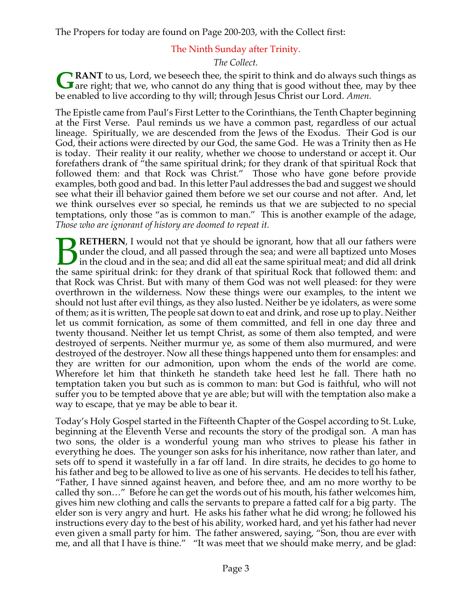The Propers for today are found on Page 200-203, with the Collect first:

## The Ninth Sunday after Trinity.

#### *The Collect.*

**RANT** to us, Lord, we beseech thee, the spirit to think and do always such things as **GRANT** to us, Lord, we beseech thee, the spirit to think and do always such things as are right; that we, who cannot do any thing that is good without thee, may by thee be enabled to live according to thy will; through Jesus Christ our Lord. *Amen.*

The Epistle came from Paul's First Letter to the Corinthians, the Tenth Chapter beginning at the First Verse. Paul reminds us we have a common past, regardless of our actual lineage. Spiritually, we are descended from the Jews of the Exodus. Their God is our God, their actions were directed by our God, the same God. He was a Trinity then as He is today. Their reality it our reality, whether we choose to understand or accept it. Our forefathers drank of "the same spiritual drink; for they drank of that spiritual Rock that followed them: and that Rock was Christ." Those who have gone before provide examples, both good and bad. In this letter Paul addresses the bad and suggest we should see what their ill behavior gained them before we set our course and not after. And, let we think ourselves ever so special, he reminds us that we are subjected to no special temptations, only those "as is common to man." This is another example of the adage, *Those who are ignorant of history are doomed to repeat it.*

**RETHERN**, I would not that ye should be ignorant, how that all our fathers were under the cloud, and all passed through the sea; and were all baptized unto Moses in the cloud and in the sea; and did all eat the same spiritual meat; and did all drink **THERN**, I would not that ye should be ignorant, how that all our fathers were under the cloud, and all passed through the sea; and were all baptized unto Moses in the cloud and in the sea; and did all eat the same spiritu that Rock was Christ. But with many of them God was not well pleased: for they were overthrown in the wilderness. Now these things were our examples, to the intent we should not lust after evil things, as they also lusted. Neither be ye idolaters, as were some of them; as it is written, The people sat down to eat and drink, and rose up to play. Neither let us commit fornication, as some of them committed, and fell in one day three and twenty thousand. Neither let us tempt Christ, as some of them also tempted, and were destroyed of serpents. Neither murmur ye, as some of them also murmured, and were destroyed of the destroyer. Now all these things happened unto them for ensamples: and they are written for our admonition, upon whom the ends of the world are come. Wherefore let him that thinketh he standeth take heed lest he fall. There hath no temptation taken you but such as is common to man: but God is faithful, who will not suffer you to be tempted above that ye are able; but will with the temptation also make a way to escape, that ye may be able to bear it.

Today's Holy Gospel started in the Fifteenth Chapter of the Gospel according to St. Luke, beginning at the Eleventh Verse and recounts the story of the prodigal son. A man has two sons, the older is a wonderful young man who strives to please his father in everything he does. The younger son asks for his inheritance, now rather than later, and sets off to spend it wastefully in a far off land. In dire straits, he decides to go home to his father and beg to be allowed to live as one of his servants. He decides to tell his father, "Father, I have sinned against heaven, and before thee, and am no more worthy to be called thy son…" Before he can get the words out of his mouth, his father welcomes him, gives him new clothing and calls the servants to prepare a fatted calf for a big party. The elder son is very angry and hurt. He asks his father what he did wrong; he followed his instructions every day to the best of his ability, worked hard, and yet his father had never even given a small party for him. The father answered, saying, "Son, thou are ever with me, and all that I have is thine." "It was meet that we should make merry, and be glad: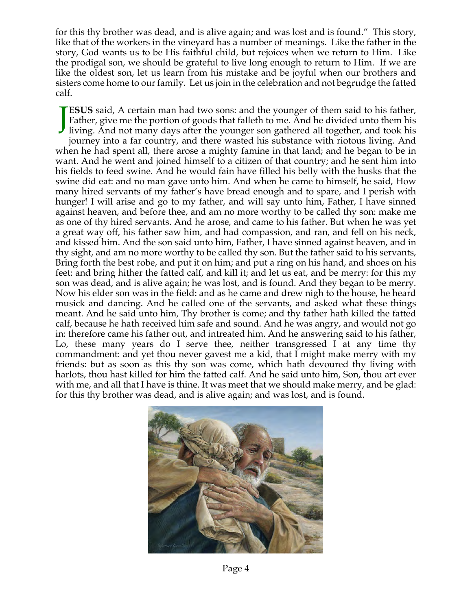for this thy brother was dead, and is alive again; and was lost and is found." This story, like that of the workers in the vineyard has a number of meanings. Like the father in the story, God wants us to be His faithful child, but rejoices when we return to Him. Like the prodigal son, we should be grateful to live long enough to return to Him. If we are like the oldest son, let us learn from his mistake and be joyful when our brothers and sisters come home to our family. Let us join in the celebration and not begrudge the fatted calf.

**ESUS** said, A certain man had two sons: and the younger of them said to his father, Father, give me the portion of goods that falleth to me. And he divided unto them his **JESUS** said, A certain man had two sons: and the younger of them said to his father, Father, give me the portion of goods that falleth to me. And he divided unto them his living. And not many days after the younger son ga journey into a far country, and there wasted his substance with riotous living. And when he had spent all, there arose a mighty famine in that land; and he began to be in want. And he went and joined himself to a citizen of that country; and he sent him into his fields to feed swine. And he would fain have filled his belly with the husks that the swine did eat: and no man gave unto him. And when he came to himself, he said, How many hired servants of my father's have bread enough and to spare, and I perish with hunger! I will arise and go to my father, and will say unto him, Father, I have sinned against heaven, and before thee, and am no more worthy to be called thy son: make me as one of thy hired servants. And he arose, and came to his father. But when he was yet a great way off, his father saw him, and had compassion, and ran, and fell on his neck, and kissed him. And the son said unto him, Father, I have sinned against heaven, and in thy sight, and am no more worthy to be called thy son. But the father said to his servants, Bring forth the best robe, and put it on him; and put a ring on his hand, and shoes on his feet: and bring hither the fatted calf, and kill it; and let us eat, and be merry: for this my son was dead, and is alive again; he was lost, and is found. And they began to be merry. Now his elder son was in the field: and as he came and drew nigh to the house, he heard musick and dancing. And he called one of the servants, and asked what these things meant. And he said unto him, Thy brother is come; and thy father hath killed the fatted calf, because he hath received him safe and sound. And he was angry, and would not go in: therefore came his father out, and intreated him. And he answering said to his father, Lo, these many years do I serve thee, neither transgressed I at any time thy commandment: and yet thou never gavest me a kid, that I might make merry with my friends: but as soon as this thy son was come, which hath devoured thy living with harlots, thou hast killed for him the fatted calf. And he said unto him, Son, thou art ever with me, and all that I have is thine. It was meet that we should make merry, and be glad: for this thy brother was dead, and is alive again; and was lost, and is found.



Page 4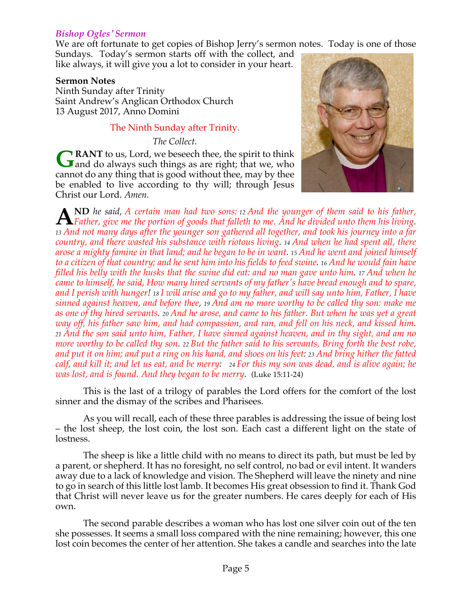#### *Bishop Ogles' Sermon*

We are oft fortunate to get copies of Bishop Jerry's sermon notes. Today is one of those

Sundays. Today's sermon starts off with the collect, and like always, it will give you a lot to consider in your heart.

#### **Sermon Notes**

Ninth Sunday after Trinity Saint Andrew's Anglican Orthodox Church 13 August 2017, Anno Domini

#### The Ninth Sunday after Trinity.

*The Collect.*

**RANT** to us, Lord, we beseech thee, the spirit to think GRANT to us, Lord, we beseech thee, the spirit to think and do always such things as are right; that we, who cannot do any thing that is good without thee, may by thee be enabled to live according to thy will; through Jesus Christ our Lord. *Amen.*



**ND** *he said, A certain man had two sons: <sup>12</sup> And the younger of them said to his father,* **A** Father, give me the portion of goods that falleth to me. And he divided unto them his living.<br>
A Father, give me the portion of goods that falleth to me. And he divided unto them his living. *<sup>13</sup> And not many days after the younger son gathered all together, and took his journey into a far country, and there wasted his substance with riotous living. 14 And when he had spent all, there arose a mighty famine in that land; and he began to be in want. 15 And he went and joined himself to a citizen of that country; and he sent him into his fields to feed swine. 16 And he would fain have filled his belly with the husks that the swine did eat: and no man gave unto him. 17 And when he came to himself, he said, How many hired servants of my father's have bread enough and to spare, and I perish with hunger! 18 I will arise and go to my father, and will say unto him, Father, I have sinned against heaven, and before thee, 19 And am no more worthy to be called thy son: make me as one of thy hired servants. 20 And he arose, and came to his father. But when he was yet a great way off, his father saw him, and had compassion, and ran, and fell on his neck, and kissed him. <sup>21</sup> And the son said unto him, Father, I have sinned against heaven, and in thy sight, and am no more worthy to be called thy son. 22 But the father said to his servants, Bring forth the best robe, and put it on him; and put a ring on his hand, and shoes on his feet: 23 And bring hither the fatted calf, and kill it; and let us eat, and be merry: <sup>24</sup> For this my son was dead, and is alive again; he was lost, and is found. And they began to be merry.* (Luke 15:11-24)

This is the last of a trilogy of parables the Lord offers for the comfort of the lost sinner and the dismay of the scribes and Pharisees.

As you will recall, each of these three parables is addressing the issue of being lost – the lost sheep, the lost coin, the lost son. Each cast a different light on the state of lostness.

The sheep is like a little child with no means to direct its path, but must be led by a parent, or shepherd. It has no foresight, no self control, no bad or evil intent. It wanders away due to a lack of knowledge and vision. The Shepherd will leave the ninety and nine to go in search of this little lost lamb. It becomes His great obsession to find it. Thank God that Christ will never leave us for the greater numbers. He cares deeply for each of His own.

The second parable describes a woman who has lost one silver coin out of the ten she possesses. It seems a small loss compared with the nine remaining; however, this one lost coin becomes the center of her attention. She takes a candle and searches into the late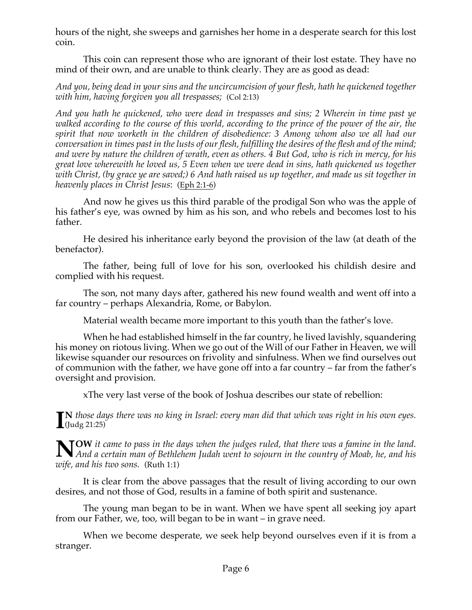hours of the night, she sweeps and garnishes her home in a desperate search for this lost coin.

This coin can represent those who are ignorant of their lost estate. They have no mind of their own, and are unable to think clearly. They are as good as dead:

*And you, being dead in your sins and the uncircumcision of your flesh, hath he quickened together with him, having forgiven you all trespasses;* (Col 2:13)

*And you hath he quickened, who were dead in trespasses and sins; 2 Wherein in time past ye walked according to the course of this world, according to the prince of the power of the air, the spirit that now worketh in the children of disobedience: 3 Among whom also we all had our conversation in times past in the lusts of our flesh, fulfilling the desires of the flesh and of the mind; and were by nature the children of wrath, even as others. 4 But God, who is rich in mercy, for his great love wherewith he loved us, 5 Even when we were dead in sins, hath quickened us together with Christ, (by grace ye are saved;) 6 And hath raised us up together, and made us sit together in heavenly places in Christ Jesus*: (Eph 2:1-6)

And now he gives us this third parable of the prodigal Son who was the apple of his father's eye, was owned by him as his son, and who rebels and becomes lost to his father.

He desired his inheritance early beyond the provision of the law (at death of the benefactor).

The father, being full of love for his son, overlooked his childish desire and complied with his request.

The son, not many days after, gathered his new found wealth and went off into a far country – perhaps Alexandria, Rome, or Babylon.

Material wealth became more important to this youth than the father's love.

When he had established himself in the far country, he lived lavishly, squandering his money on riotous living. When we go out of the Will of our Father in Heaven, we will likewise squander our resources on frivolity and sinfulness. When we find ourselves out of communion with the father, we have gone off into a far country – far from the father's oversight and provision.

xThe very last verse of the book of Joshua describes our state of rebellion:

**N** *those days there was no king in Israel: every man did that which was right in his own eyes.*  $\prod_{\text{(Judg 21:25)}}$ 

**NOW** it came to pass in the days when the judges ruled, that there was a famine in the land.<br>
And a certain man of Bethlehem Judah went to sojourn in the country of Moab, he, and his *And a certain man of Bethlehem Judah went to sojourn in the country of Moab, he, and his wife, and his two sons.* (Ruth 1:1)

It is clear from the above passages that the result of living according to our own desires, and not those of God, results in a famine of both spirit and sustenance.

The young man began to be in want. When we have spent all seeking joy apart from our Father, we, too, will began to be in want – in grave need.

When we become desperate, we seek help beyond ourselves even if it is from a stranger.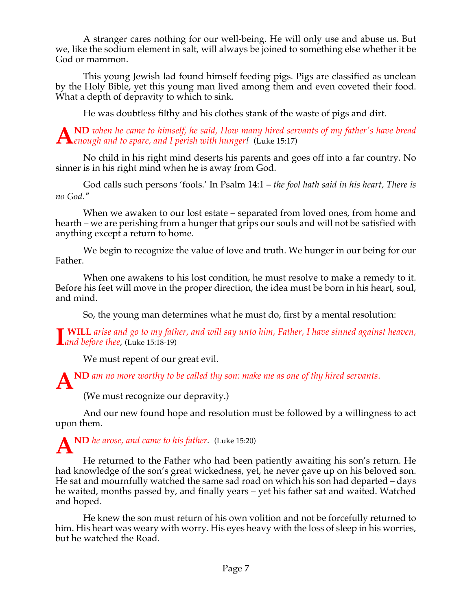A stranger cares nothing for our well-being. He will only use and abuse us. But we, like the sodium element in salt, will always be joined to something else whether it be God or mammon.

This young Jewish lad found himself feeding pigs. Pigs are classified as unclean by the Holy Bible, yet this young man lived among them and even coveted their food. What a depth of depravity to which to sink.

He was doubtless filthy and his clothes stank of the waste of pigs and dirt.

**ND** *when he came to himself, he said, How many hired servants of my father's have bread enough and to spare, and I perish with hunger!* (Luke 15:17) **A**

No child in his right mind deserts his parents and goes off into a far country. No sinner is in his right mind when he is away from God.

God calls such persons 'fools.' In Psalm 14:1 – *the fool hath said in his heart, There is no God."*

When we awaken to our lost estate – separated from loved ones, from home and hearth – we are perishing from a hunger that grips our souls and will not be satisfied with anything except a return to home.

We begin to recognize the value of love and truth. We hunger in our being for our Father.

When one awakens to his lost condition, he must resolve to make a remedy to it. Before his feet will move in the proper direction, the idea must be born in his heart, soul, and mind.

So, the young man determines what he must do, first by a mental resolution:

**WILL** *arise and go to my father, and will say unto him, Father, I have sinned against heaven, and before thee,* (Luke 15:18-19) **I**

We must repent of our great evil.

A<sup>ND</sup> *am no more worthy to be called thy son: make me as one of thy hired servants.* 

(We must recognize our depravity.)

And our new found hope and resolution must be followed by a willingness to act upon them.

**ND** *he arose, and came to his father.* (Luke 15:20) **A**

He returned to the Father who had been patiently awaiting his son's return. He had knowledge of the son's great wickedness, yet, he never gave up on his beloved son. He sat and mournfully watched the same sad road on which his son had departed – days he waited, months passed by, and finally years – yet his father sat and waited. Watched and hoped.

He knew the son must return of his own volition and not be forcefully returned to him. His heart was weary with worry. His eyes heavy with the loss of sleep in his worries, but he watched the Road.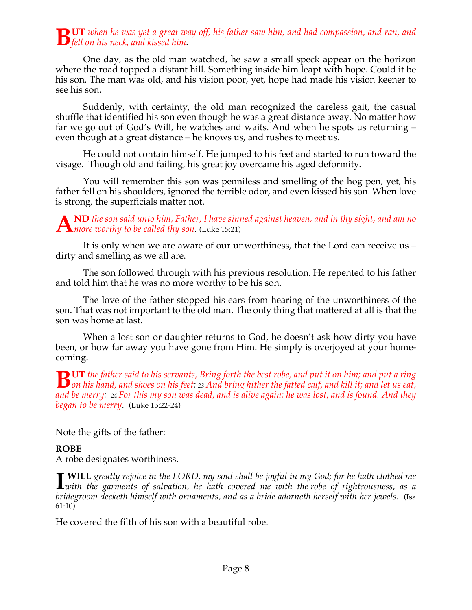## **UT** *when he was yet a great way off, his father saw him, and had compassion, and ran, and fell on his neck, and kissed him.*

One day, as the old man watched, he saw a small speck appear on the horizon where the road topped a distant hill. Something inside him leapt with hope. Could it be his son. The man was old, and his vision poor, yet, hope had made his vision keener to see his son.

Suddenly, with certainty, the old man recognized the careless gait, the casual shuffle that identified his son even though he was a great distance away. No matter how far we go out of God's Will, he watches and waits. And when he spots us returning – even though at a great distance – he knows us, and rushes to meet us.

He could not contain himself. He jumped to his feet and started to run toward the visage. Though old and failing, his great joy overcame his aged deformity.

You will remember this son was penniless and smelling of the hog pen, yet, his father fell on his shoulders, ignored the terrible odor, and even kissed his son. When love is strong, the superficials matter not.

**ND** *the son said unto him, Father, I have sinned against heaven, and in thy sight, and am no*  A *MD* the son said unto him, Father, I have sing the worthy to be called thy son. (Luke 15:21)

It is only when we are aware of our unworthiness, that the Lord can receive us – dirty and smelling as we all are.

The son followed through with his previous resolution. He repented to his father and told him that he was no more worthy to be his son.

The love of the father stopped his ears from hearing of the unworthiness of the son. That was not important to the old man. The only thing that mattered at all is that the son was home at last.

When a lost son or daughter returns to God, he doesn't ask how dirty you have been, or how far away you have gone from Him. He simply is overjoyed at your homecoming.

**UT** *the father said to his servants, Bring forth the best robe, and put it on him; and put a ring*  **b** *on his hand, and shoes on his feet: 23 And bring hither the fatted calf, and kill it; and let us eat,* $\frac{1}{2}$  **and heaven because the fatted calf, and kill it; and let us eat,**  $\frac{1}{2}$  **and let us eat,**  $\frac{1}{2}$  **an** *and be merry: <sup>24</sup> For this my son was dead, and is alive again; he was lost, and is found. And they began to be merry*. (Luke 15:22-24)

Note the gifts of the father:

## **ROBE**

A robe designates worthiness.

**WILL** *greatly rejoice in the LORD, my soul shall be joyful in my God; for he hath clothed me*  **I** WILL greatly rejoice in the LORD, my soul shall be joyful in my God; for he hath clothed me<br> *Lwith the garments of salvation*, he hath covered me with the <u>robe of righteousness</u>, as a<br>
luidences and the *salvation* o *bridegroom decketh himself with ornaments, and as a bride adorneth herself with her jewels.* (Isa  $61:10)$ 

He covered the filth of his son with a beautiful robe.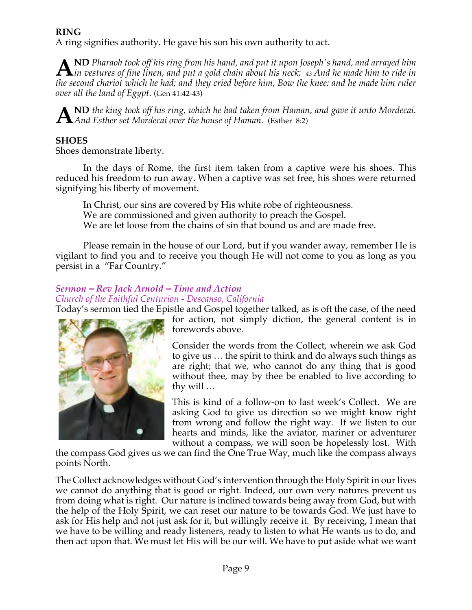## **RING**

A ring signifies authority. He gave his son his own authority to act.

**ND** *Pharaoh took off his ring from his hand, and put it upon Joseph's hand, and arrayed him*  **i**n *pharaoh* took off his ring from his hand, and put it upon Joseph's hand, and arrayed him<br>Lin vestures of fine linen, and put a gold chain about his neck; 43 And he made him to ride in<br>the account about which he had a *the second chariot which he had; and they cried before him, Bow the knee: and he made him ruler over all the land of Egypt.* (Gen 41:42-43)

**ND** *the king took off his ring, which he had taken from Haman, and gave it unto Mordecai. And Esther set Mordecai over the house of Haman.* (Esther 8:2) **A**

## **SHOES**

Shoes demonstrate liberty.

In the days of Rome, the first item taken from a captive were his shoes. This reduced his freedom to run away. When a captive was set free, his shoes were returned signifying his liberty of movement.

In Christ, our sins are covered by His white robe of righteousness. We are commissioned and given authority to preach the Gospel. We are let loose from the chains of sin that bound us and are made free.

Please remain in the house of our Lord, but if you wander away, remember He is vigilant to find you and to receive you though He will not come to you as long as you persist in a "Far Country."

## *Sermon – Rev Jack Arnold – Time and Action*

*Church of the Faithful Centurion - Descanso, California*

Today's sermon tied the Epistle and Gospel together talked, as is oft the case, of the need



for action, not simply diction, the general content is in forewords above.

Consider the words from the Collect, wherein we ask God to give us … the spirit to think and do always such things as are right; that we, who cannot do any thing that is good without thee, may by thee be enabled to live according to thy will …

This is kind of a follow-on to last week's Collect. We are asking God to give us direction so we might know right from wrong and follow the right way. If we listen to our hearts and minds, like the aviator, mariner or adventurer without a compass, we will soon be hopelessly lost. With

the compass God gives us we can find the One True Way, much like the compass always points North.

The Collect acknowledges without God's intervention through the Holy Spirit in our lives we cannot do anything that is good or right. Indeed, our own very natures prevent us from doing what is right. Our nature is inclined towards being away from God, but with the help of the Holy Spirit, we can reset our nature to be towards God. We just have to ask for His help and not just ask for it, but willingly receive it. By receiving, I mean that we have to be willing and ready listeners, ready to listen to what He wants us to do, and then act upon that. We must let His will be our will. We have to put aside what we want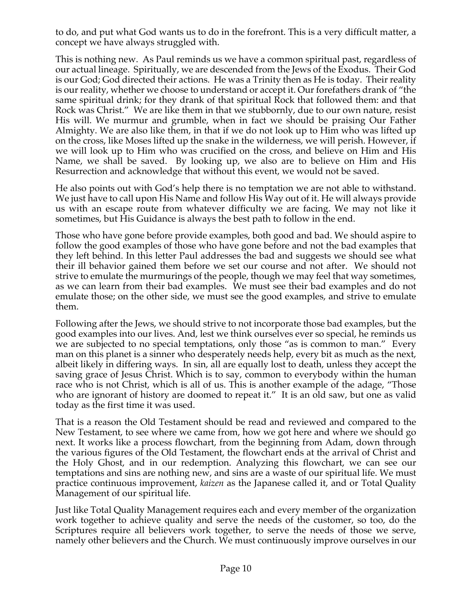to do, and put what God wants us to do in the forefront. This is a very difficult matter, a concept we have always struggled with.

This is nothing new. As Paul reminds us we have a common spiritual past, regardless of our actual lineage. Spiritually, we are descended from the Jews of the Exodus. Their God is our God; God directed their actions. He was a Trinity then as He is today. Their reality is our reality, whether we choose to understand or accept it. Our forefathers drank of "the same spiritual drink; for they drank of that spiritual Rock that followed them: and that Rock was Christ." We are like them in that we stubbornly, due to our own nature, resist His will. We murmur and grumble, when in fact we should be praising Our Father Almighty. We are also like them, in that if we do not look up to Him who was lifted up on the cross, like Moses lifted up the snake in the wilderness, we will perish. However, if we will look up to Him who was crucified on the cross, and believe on Him and His Name, we shall be saved. By looking up, we also are to believe on Him and His Resurrection and acknowledge that without this event, we would not be saved.

He also points out with God's help there is no temptation we are not able to withstand. We just have to call upon His Name and follow His Way out of it. He will always provide us with an escape route from whatever difficulty we are facing. We may not like it sometimes, but His Guidance is always the best path to follow in the end.

Those who have gone before provide examples, both good and bad. We should aspire to follow the good examples of those who have gone before and not the bad examples that they left behind. In this letter Paul addresses the bad and suggests we should see what their ill behavior gained them before we set our course and not after. We should not strive to emulate the murmurings of the people, though we may feel that way sometimes, as we can learn from their bad examples. We must see their bad examples and do not emulate those; on the other side, we must see the good examples, and strive to emulate them.

Following after the Jews, we should strive to not incorporate those bad examples, but the good examples into our lives. And, lest we think ourselves ever so special, he reminds us we are subjected to no special temptations, only those "as is common to man." Every man on this planet is a sinner who desperately needs help, every bit as much as the next, albeit likely in differing ways. In sin, all are equally lost to death, unless they accept the saving grace of Jesus Christ. Which is to say, common to everybody within the human race who is not Christ, which is all of us. This is another example of the adage, "Those who are ignorant of history are doomed to repeat it." It is an old saw, but one as valid today as the first time it was used.

That is a reason the Old Testament should be read and reviewed and compared to the New Testament, to see where we came from, how we got here and where we should go next. It works like a process flowchart, from the beginning from Adam, down through the various figures of the Old Testament, the flowchart ends at the arrival of Christ and the Holy Ghost, and in our redemption. Analyzing this flowchart, we can see our temptations and sins are nothing new, and sins are a waste of our spiritual life. We must practice continuous improvement, *kaizen* as the Japanese called it, and or Total Quality Management of our spiritual life.

Just like Total Quality Management requires each and every member of the organization work together to achieve quality and serve the needs of the customer, so too, do the Scriptures require all believers work together, to serve the needs of those we serve, namely other believers and the Church. We must continuously improve ourselves in our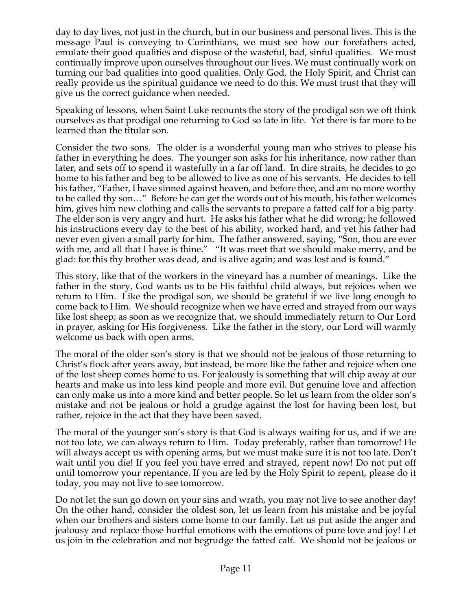day to day lives, not just in the church, but in our business and personal lives. This is the message Paul is conveying to Corinthians, we must see how our forefathers acted, emulate their good qualities and dispose of the wasteful, bad, sinful qualities. We must continually improve upon ourselves throughout our lives. We must continually work on turning our bad qualities into good qualities. Only God, the Holy Spirit, and Christ can really provide us the spiritual guidance we need to do this. We must trust that they will give us the correct guidance when needed.

Speaking of lessons, when Saint Luke recounts the story of the prodigal son we oft think ourselves as that prodigal one returning to God so late in life. Yet there is far more to be learned than the titular son.

Consider the two sons. The older is a wonderful young man who strives to please his father in everything he does. The younger son asks for his inheritance, now rather than later, and sets off to spend it wastefully in a far off land. In dire straits, he decides to go home to his father and beg to be allowed to live as one of his servants. He decides to tell his father, "Father, I have sinned against heaven, and before thee, and am no more worthy to be called thy son…" Before he can get the words out of his mouth, his father welcomes him, gives him new clothing and calls the servants to prepare a fatted calf for a big party. The elder son is very angry and hurt. He asks his father what he did wrong; he followed his instructions every day to the best of his ability, worked hard, and yet his father had never even given a small party for him. The father answered, saying, "Son, thou are ever with me, and all that I have is thine." "It was meet that we should make merry, and be glad: for this thy brother was dead, and is alive again; and was lost and is found."

This story, like that of the workers in the vineyard has a number of meanings. Like the father in the story, God wants us to be His faithful child always, but rejoices when we return to Him. Like the prodigal son, we should be grateful if we live long enough to come back to Him. We should recognize when we have erred and strayed from our ways like lost sheep; as soon as we recognize that, we should immediately return to Our Lord in prayer, asking for His forgiveness. Like the father in the story, our Lord will warmly welcome us back with open arms.

The moral of the older son's story is that we should not be jealous of those returning to Christ's flock after years away, but instead, be more like the father and rejoice when one of the lost sheep comes home to us. For jealously is something that will chip away at our hearts and make us into less kind people and more evil. But genuine love and affection can only make us into a more kind and better people. So let us learn from the older son's mistake and not be jealous or hold a grudge against the lost for having been lost, but rather, rejoice in the act that they have been saved.

The moral of the younger son's story is that God is always waiting for us, and if we are not too late, we can always return to Him. Today preferably, rather than tomorrow! He will always accept us with opening arms, but we must make sure it is not too late. Don't wait until you die! If you feel you have erred and strayed, repent now! Do not put off until tomorrow your repentance. If you are led by the Holy Spirit to repent, please do it today, you may not live to see tomorrow.

Do not let the sun go down on your sins and wrath, you may not live to see another day! On the other hand, consider the oldest son, let us learn from his mistake and be joyful when our brothers and sisters come home to our family. Let us put aside the anger and jealousy and replace those hurtful emotions with the emotions of pure love and joy! Let us join in the celebration and not begrudge the fatted calf. We should not be jealous or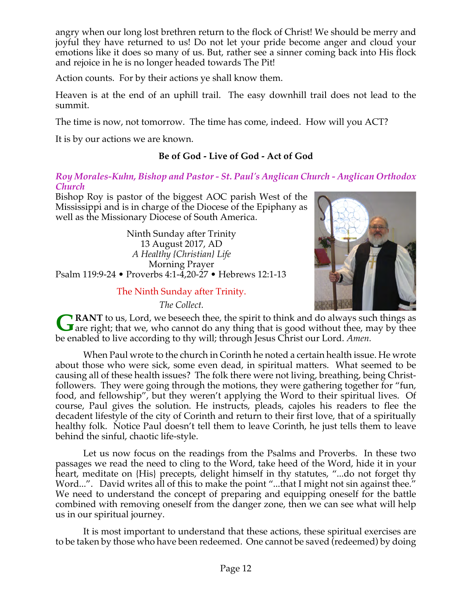angry when our long lost brethren return to the flock of Christ! We should be merry and joyful they have returned to us! Do not let your pride become anger and cloud your emotions like it does so many of us. But, rather see a sinner coming back into His flock and rejoice in he is no longer headed towards The Pit!

Action counts. For by their actions ye shall know them.

Heaven is at the end of an uphill trail. The easy downhill trail does not lead to the summit.

The time is now, not tomorrow. The time has come, indeed. How will you ACT?

It is by our actions we are known.

## **Be of God - Live of God - Act of God**

#### *Roy Morales-Kuhn, Bishop and Pastor - St. Paul's Anglican Church - Anglican Orthodox Church*

Bishop Roy is pastor of the biggest AOC parish West of the Mississippi and is in charge of the Diocese of the Epiphany as well as the Missionary Diocese of South America.

Ninth Sunday after Trinity 13 August 2017, AD *A Healthy {Christian} Life* Morning Prayer Psalm 119:9-24 • Proverbs 4:1-4,20-27 • Hebrews 12:1-13

#### The Ninth Sunday after Trinity.

*The Collect.*



**RANT** to us, Lord, we beseech thee, the spirit to think and do always such things as **GRANT** to us, Lord, we beseech thee, the spirit to think and do always such things as are right; that we, who cannot do any thing that is good without thee, may by thee be enabled to live according to thy will; through Jesus Christ our Lord. *Amen.*

When Paul wrote to the church in Corinth he noted a certain health issue. He wrote about those who were sick, some even dead, in spiritual matters. What seemed to be causing all of these health issues? The folk there were not living, breathing, being Christfollowers. They were going through the motions, they were gathering together for "fun, food, and fellowship", but they weren't applying the Word to their spiritual lives. Of course, Paul gives the solution. He instructs, pleads, cajoles his readers to flee the decadent lifestyle of the city of Corinth and return to their first love, that of a spiritually healthy folk. Notice Paul doesn't tell them to leave Corinth, he just tells them to leave behind the sinful, chaotic life-style.

Let us now focus on the readings from the Psalms and Proverbs. In these two passages we read the need to cling to the Word, take heed of the Word, hide it in your heart, meditate on {His} precepts, delight himself in thy statutes, "...do not forget thy Word...". David writes all of this to make the point "...that I might not sin against thee." We need to understand the concept of preparing and equipping oneself for the battle combined with removing oneself from the danger zone, then we can see what will help us in our spiritual journey.

It is most important to understand that these actions, these spiritual exercises are to be taken by those who have been redeemed. One cannot be saved (redeemed) by doing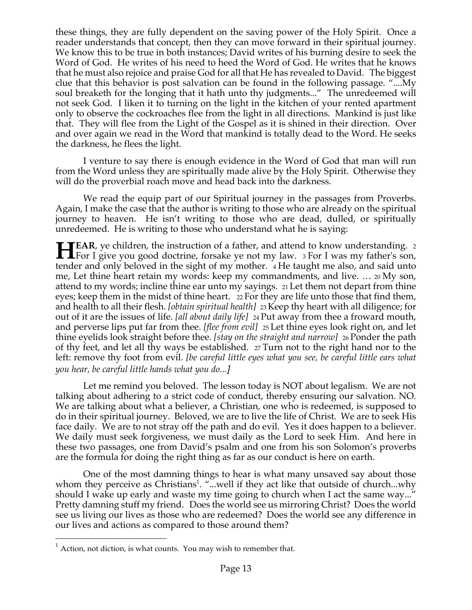these things, they are fully dependent on the saving power of the Holy Spirit. Once a reader understands that concept, then they can move forward in their spiritual journey. We know this to be true in both instances; David writes of his burning desire to seek the Word of God. He writes of his need to heed the Word of God. He writes that he knows that he must also rejoice and praise God for all that He has revealed to David. The biggest clue that this behavior is post salvation can be found in the following passage. "....My soul breaketh for the longing that it hath unto thy judgments..." The unredeemed will not seek God. I liken it to turning on the light in the kitchen of your rented apartment only to observe the cockroaches flee from the light in all directions. Mankind is just like that. They will flee from the Light of the Gospel as it is shined in their direction. Over and over again we read in the Word that mankind is totally dead to the Word. He seeks the darkness, he flees the light.

I venture to say there is enough evidence in the Word of God that man will run from the Word unless they are spiritually made alive by the Holy Spirit. Otherwise they will do the proverbial roach move and head back into the darkness.

We read the equip part of our Spiritual journey in the passages from Proverbs. Again, I make the case that the author is writing to those who are already on the spiritual journey to heaven. He isn't writing to those who are dead, dulled, or spiritually unredeemed. He is writing to those who understand what he is saying:

**FIFAR**, ye children, the instruction of a father, and attend to know understanding. 2 **FOR**, ye children, the instruction of a father, and attend to know understanding. 2<br>For I give you good doctrine, forsake ye not my law. 3 For I was my father's son, tender and only beloved in the sight of my mother. 4 He taught me also, and said unto me, Let thine heart retain my words: keep my commandments, and live. … <sup>20</sup> My son, attend to my words; incline thine ear unto my sayings. 21 Let them not depart from thine eyes; keep them in the midst of thine heart. 22 For they are life unto those that find them, and health to all their flesh. *[obtain spiritual health]* 23 Keep thy heart with all diligence; for out of it are the issues of life. *[all about daily life]* 24 Put away from thee a froward mouth, and perverse lips put far from thee. *[flee from evil]* 25 Let thine eyes look right on, and let thine eyelids look straight before thee. *[stay on the straight and narrow]* 26 Ponder the path of thy feet, and let all thy ways be established. 27 Turn not to the right hand nor to the left: remove thy foot from evil. *[be careful little eyes what you see, be careful little ears what you hear, be careful little hands what you do...]*

Let me remind you beloved. The lesson today is NOT about legalism. We are not talking about adhering to a strict code of conduct, thereby ensuring our salvation. NO. We are talking about what a believer, a Christian, one who is redeemed, is supposed to do in their spiritual journey. Beloved, we are to live the life of Christ. We are to seek His face daily. We are to not stray off the path and do evil. Yes it does happen to a believer. We daily must seek forgiveness, we must daily as the Lord to seek Him. And here in these two passages, one from David's psalm and one from his son Solomon's proverbs are the formula for doing the right thing as far as our conduct is here on earth.

One of the most damning things to hear is what many unsaved say about those whom they perceive as Christians<sup>1</sup>. "...well if they act like that outside of church...why should I wake up early and waste my time going to church when I act the same way..." Pretty damning stuff my friend. Does the world see us mirroring Christ? Does the world see us living our lives as those who are redeemed? Does the world see any difference in our lives and actions as compared to those around them?

 $1$  Action, not diction, is what counts. You may wish to remember that.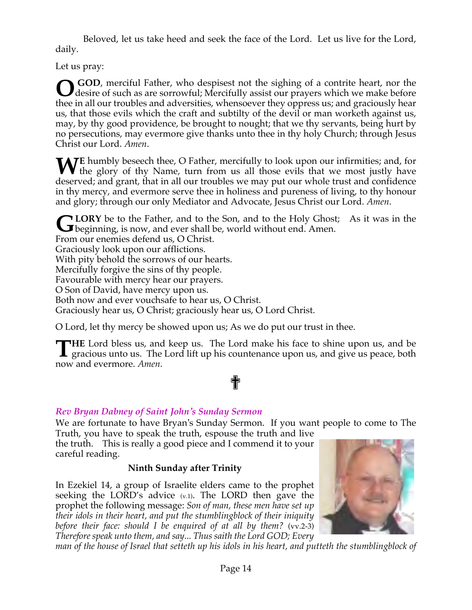Beloved, let us take heed and seek the face of the Lord. Let us live for the Lord, daily.

Let us pray:

**GOD**, merciful Father, who despisest not the sighing of a contrite heart, nor the desire of such as are sorrowful; Mercifully assist our prayers which we make before thee in all our troubles and adversities, whensoever they oppress us; and graciously hear us, that those evils which the craft and subtilty of the devil or man worketh against us, may, by thy good providence, be brought to nought; that we thy servants, being hurt by no persecutions, may evermore give thanks unto thee in thy holy Church; through Jesus Christ our Lord. *Amen*. **O**

**WE** humbly beseech thee, O Father, mercifully to look upon our infirmities; and, for the glory of thy Name, turn from us all those evils that we most justly have **V** the glory of thy Name, turn from us all those evils that we most justly have deserved; and grant, that in all our troubles we may put our whole trust and confidence in thy mercy, and evermore serve thee in holiness and pureness of living, to thy honour and glory; through our only Mediator and Advocate, Jesus Christ our Lord. *Amen*.

**LORY** be to the Father, and to the Son, and to the Holy Ghost; As it was in the **GLORY** be to the Father, and to the Son, and to the Holy Ghost beginning, is now, and ever shall be, world without end. Amen. From our enemies defend us, O Christ. Graciously look upon our afflictions. With pity behold the sorrows of our hearts. Mercifully forgive the sins of thy people. Favourable with mercy hear our prayers. O Son of David, have mercy upon us. Both now and ever vouchsafe to hear us, O Christ. Graciously hear us, O Christ; graciously hear us, O Lord Christ.

O Lord, let thy mercy be showed upon us; As we do put our trust in thee.

**HE** Lord bless us, and keep us. The Lord make his face to shine upon us, and be THE Lord bless us, and keep us. The Lord make his face to shine upon us, and be gracious unto us. The Lord lift up his countenance upon us, and give us peace, both now and evermore. *Amen*.

# ✟

## *Rev Bryan Dabney of Saint John's Sunday Sermon*

We are fortunate to have Bryan's Sunday Sermon. If you want people to come to The Truth, you have to speak the truth, espouse the truth and live

the truth. This is really a good piece and I commend it to your careful reading.

## **Ninth Sunday after Trinity**

In Ezekiel 14, a group of Israelite elders came to the prophet seeking the LORD's advice  $(v.1)$ . The LORD then gave the prophet the following message: *Son of man, these men have set up their idols in their heart, and put the stumblingblock of their iniquity before their face: should I be enquired of at all by them?* (vv.2-3) *Therefore speak unto them, and say... Thus saith the Lord GOD; Every*



man of the house of Israel that setteth up his idols in his heart, and putteth the stumblingblock of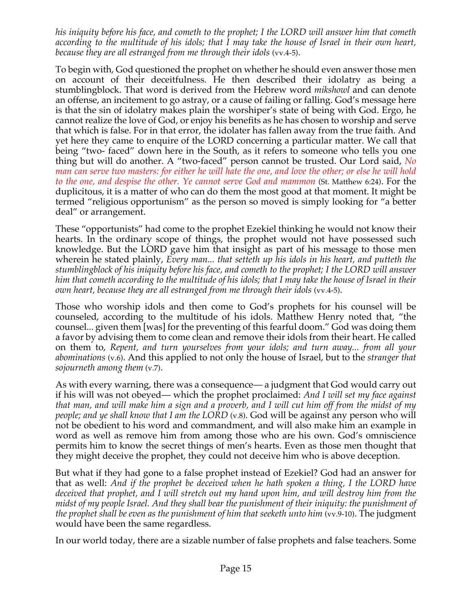*his iniquity before his face, and cometh to the prophet; I the LORD will answer him that cometh* according to the multitude of his idols; that I may take the house of Israel in their own heart, *because they are all estranged from me through their idols* (vv.4-5).

To begin with, God questioned the prophet on whether he should even answer those men on account of their deceitfulness. He then described their idolatry as being a stumblingblock. That word is derived from the Hebrew word *mikshowl* and can denote an offense, an incitement to go astray, or a cause of failing or falling. God's message here is that the sin of idolatry makes plain the worshiper's state of being with God. Ergo, he cannot realize the love of God, or enjoy his benefits as he has chosen to worship and serve that which is false. For in that error, the idolater has fallen away from the true faith. And yet here they came to enquire of the LORD concerning a particular matter. We call that being "two- faced" down here in the South, as it refers to someone who tells you one thing but will do another. A "two-faced" person cannot be trusted. Our Lord said, *No* man can serve two masters: for either he will hate the one, and love the other; or else he will hold *to the one, and despise the other. Ye cannot serve God and mammon* (St. Matthew 6:24). For the duplicitous, it is a matter of who can do them the most good at that moment. It might be termed "religious opportunism" as the person so moved is simply looking for "a better deal" or arrangement.

These "opportunists" had come to the prophet Ezekiel thinking he would not know their hearts. In the ordinary scope of things, the prophet would not have possessed such knowledge. But the LORD gave him that insight as part of his message to those men wherein he stated plainly, *Every man... that setteth up his idols in his heart, and putteth the stumblingblock of his iniquity before his face, and cometh to the prophet; I the LORD will answer* him that cometh according to the multitude of his idols; that I may take the house of Israel in their *own heart, because they are all estranged from me through their idols* (vv.4-5).

Those who worship idols and then come to God's prophets for his counsel will be counseled, according to the multitude of his idols. Matthew Henry noted that, "the counsel... given them [was] for the preventing of this fearful doom." God was doing them a favor by advising them to come clean and remove their idols from their heart. He called on them to, *Repent, and turn yourselves from your idols; and turn away... from all your abominations* (v.6). And this applied to not only the house of Israel, but to the *stranger that sojourneth among them* (v.7).

As with every warning, there was a consequence— a judgment that God would carry out if his will was not obeyed— which the prophet proclaimed: *And I will set my face against* that man, and will make him a sign and a proverb, and I will cut him off from the midst of my *people; and ye shall know that I am the LORD* (v.8). God will be against any person who will not be obedient to his word and commandment, and will also make him an example in word as well as remove him from among those who are his own. God's omniscience permits him to know the secret things of men's hearts. Even as those men thought that they might deceive the prophet, they could not deceive him who is above deception.

But what if they had gone to a false prophet instead of Ezekiel? God had an answer for that as well: *And if the prophet be deceived when he hath spoken a thing, I the LORD have deceived that prophet, and I will stretch out my hand upon him, and will destroy him from the midst of my people Israel. And they shall bear the punishment of their iniquity: the punishment of the prophet shall be even as the punishment of him that seeketh unto him* (vv.9-10). The judgment would have been the same regardless.

In our world today, there are a sizable number of false prophets and false teachers. Some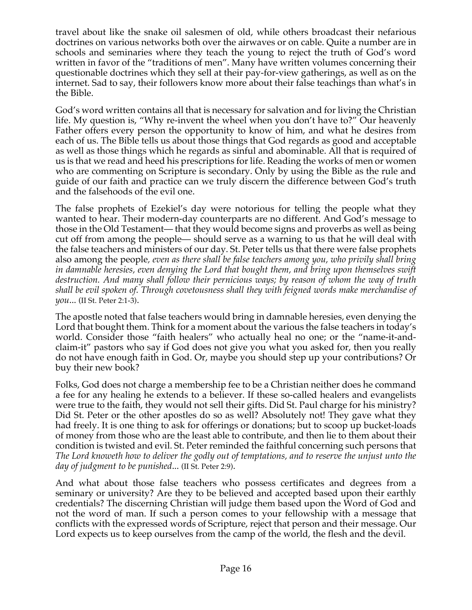travel about like the snake oil salesmen of old, while others broadcast their nefarious doctrines on various networks both over the airwaves or on cable. Quite a number are in schools and seminaries where they teach the young to reject the truth of God's word written in favor of the "traditions of men". Many have written volumes concerning their questionable doctrines which they sell at their pay-for-view gatherings, as well as on the internet. Sad to say, their followers know more about their false teachings than what's in the Bible.

God's word written contains all that is necessary for salvation and for living the Christian life. My question is, "Why re-invent the wheel when you don't have to?" Our heavenly Father offers every person the opportunity to know of him, and what he desires from each of us. The Bible tells us about those things that God regards as good and acceptable as well as those things which he regards as sinful and abominable. All that is required of us is that we read and heed his prescriptions for life. Reading the works of men or women who are commenting on Scripture is secondary. Only by using the Bible as the rule and guide of our faith and practice can we truly discern the difference between God's truth and the falsehoods of the evil one.

The false prophets of Ezekiel's day were notorious for telling the people what they wanted to hear. Their modern-day counterparts are no different. And God's message to those in the Old Testament— that they would become signs and proverbs as well as being cut off from among the people— should serve as a warning to us that he will deal with the false teachers and ministers of our day. St. Peter tells us that there were false prophets also among the people*, even as there shall be false teachers among you, who privily shall bring in damnable heresies, even denying the Lord that bought them, and bring upon themselves swift destruction. And many shall follow their pernicious ways; by reason of whom the way of truth shall be evil spoken of. Through covetousness shall they with feigned words make merchandise of you*... (II St. Peter 2:1-3).

The apostle noted that false teachers would bring in damnable heresies, even denying the Lord that bought them. Think for a moment about the various the false teachers in today's world. Consider those "faith healers" who actually heal no one; or the "name-it-andclaim-it" pastors who say if God does not give you what you asked for, then you really do not have enough faith in God. Or, maybe you should step up your contributions? Or buy their new book?

Folks, God does not charge a membership fee to be a Christian neither does he command a fee for any healing he extends to a believer. If these so-called healers and evangelists were true to the faith, they would not sell their gifts. Did St. Paul charge for his ministry? Did St. Peter or the other apostles do so as well? Absolutely not! They gave what they had freely. It is one thing to ask for offerings or donations; but to scoop up bucket-loads of money from those who are the least able to contribute, and then lie to them about their condition is twisted and evil. St. Peter reminded the faithful concerning such persons that *The Lord knoweth how to deliver the godly out of temptations, and to reserve the unjust unto the day of judgment to be punished*... (II St. Peter 2:9).

And what about those false teachers who possess certificates and degrees from a seminary or university? Are they to be believed and accepted based upon their earthly credentials? The discerning Christian will judge them based upon the Word of God and not the word of man. If such a person comes to your fellowship with a message that conflicts with the expressed words of Scripture, reject that person and their message. Our Lord expects us to keep ourselves from the camp of the world, the flesh and the devil.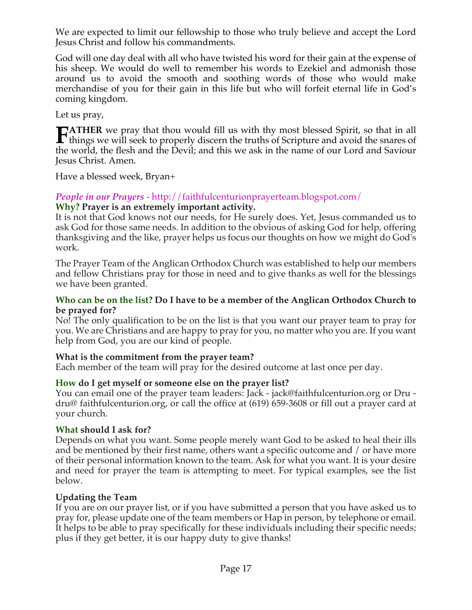We are expected to limit our fellowship to those who truly believe and accept the Lord Jesus Christ and follow his commandments.

God will one day deal with all who have twisted his word for their gain at the expense of his sheep. We would do well to remember his words to Ezekiel and admonish those around us to avoid the smooth and soothing words of those who would make merchandise of you for their gain in this life but who will forfeit eternal life in God's coming kingdom.

Let us pray,

**TATHER** we pray that thou would fill us with thy most blessed Spirit, so that in all **th** TATHER we pray that thou would fill us with thy most blessed Spirit, so that in all things we will seek to properly discern the truths of Scripture and avoid the snares of the space of the space of the space of the sn the world, the flesh and the Devil; and this we ask in the name of our Lord and Saviour Jesus Christ. Amen.

Have a blessed week, Bryan+

#### *People in our Prayers* - http://faithfulcenturionprayerteam.blogspot.com/ **Why? Prayer is an extremely important activity.**

It is not that God knows not our needs, for He surely does. Yet, Jesus commanded us to ask God for those same needs. In addition to the obvious of asking God for help, offering thanksgiving and the like, prayer helps us focus our thoughts on how we might do God's work.

The Prayer Team of the Anglican Orthodox Church was established to help our members and fellow Christians pray for those in need and to give thanks as well for the blessings we have been granted.

#### **Who can be on the list? Do I have to be a member of the Anglican Orthodox Church to be prayed for?**

No! The only qualification to be on the list is that you want our prayer team to pray for you. We are Christians and are happy to pray for you, no matter who you are. If you want help from God, you are our kind of people.

## **What is the commitment from the prayer team?**

Each member of the team will pray for the desired outcome at last once per day.

## **How do I get myself or someone else on the prayer list?**

You can email one of the prayer team leaders: Jack - jack@faithfulcenturion.org or Dru dru@ faithfulcenturion.org, or call the office at (619) 659-3608 or fill out a prayer card at your church.

## **What should I ask for?**

Depends on what you want. Some people merely want God to be asked to heal their ills and be mentioned by their first name, others want a specific outcome and / or have more of their personal information known to the team. Ask for what you want. It is your desire and need for prayer the team is attempting to meet. For typical examples, see the list below.

## **Updating the Team**

If you are on our prayer list, or if you have submitted a person that you have asked us to pray for, please update one of the team members or Hap in person, by telephone or email. It helps to be able to pray specifically for these individuals including their specific needs; plus if they get better, it is our happy duty to give thanks!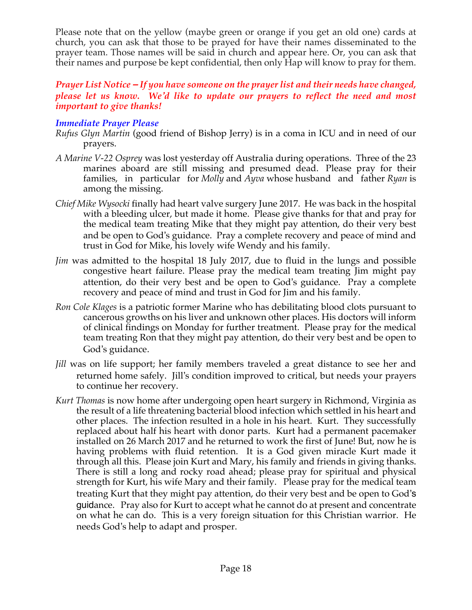Please note that on the yellow (maybe green or orange if you get an old one) cards at church, you can ask that those to be prayed for have their names disseminated to the prayer team. Those names will be said in church and appear here. Or, you can ask that their names and purpose be kept confidential, then only Hap will know to pray for them.

## *Prayer List Notice – If you have someone on the prayer list and their needs have changed, please let us know. We'd like to update our prayers to reflect the need and most important to give thanks!*

## *Immediate Prayer Please*

- *Rufus Glyn Martin* (good friend of Bishop Jerry) is in a coma in ICU and in need of our prayers.
- *A Marine V-22 Osprey* was lost yesterday off Australia during operations. Three of the 23 marines aboard are still missing and presumed dead. Please pray for their families, in particular for *Molly* and *Ayva* whose husband and father *Ryan* is among the missing.
- *Chief Mike Wysocki* finally had heart valve surgery June 2017. He was back in the hospital with a bleeding ulcer, but made it home. Please give thanks for that and pray for the medical team treating Mike that they might pay attention, do their very best and be open to God's guidance. Pray a complete recovery and peace of mind and trust in God for Mike, his lovely wife Wendy and his family.
- *Jim* was admitted to the hospital 18 July 2017, due to fluid in the lungs and possible congestive heart failure. Please pray the medical team treating Jim might pay attention, do their very best and be open to God's guidance. Pray a complete recovery and peace of mind and trust in God for Jim and his family.
- *Ron Cole Klages* is a patriotic former Marine who has debilitating blood clots pursuant to cancerous growths on his liver and unknown other places. His doctors will inform of clinical findings on Monday for further treatment. Please pray for the medical team treating Ron that they might pay attention, do their very best and be open to God's guidance.
- *Jill* was on life support; her family members traveled a great distance to see her and returned home safely. Jill's condition improved to critical, but needs your prayers to continue her recovery.
- *Kurt Thomas* is now home after undergoing open heart surgery in Richmond, Virginia as the result of a life threatening bacterial blood infection which settled in his heart and other places. The infection resulted in a hole in his heart. Kurt. They successfully replaced about half his heart with donor parts. Kurt had a permanent pacemaker installed on 26 March 2017 and he returned to work the first of June! But, now he is having problems with fluid retention. It is a God given miracle Kurt made it through all this. Please join Kurt and Mary, his family and friends in giving thanks. There is still a long and rocky road ahead; please pray for spiritual and physical strength for Kurt, his wife Mary and their family. Please pray for the medical team treating Kurt that they might pay attention, do their very best and be open to God's guidance. Pray also for Kurt to accept what he cannot do at present and concentrate on what he can do. This is a very foreign situation for this Christian warrior. He needs God's help to adapt and prosper.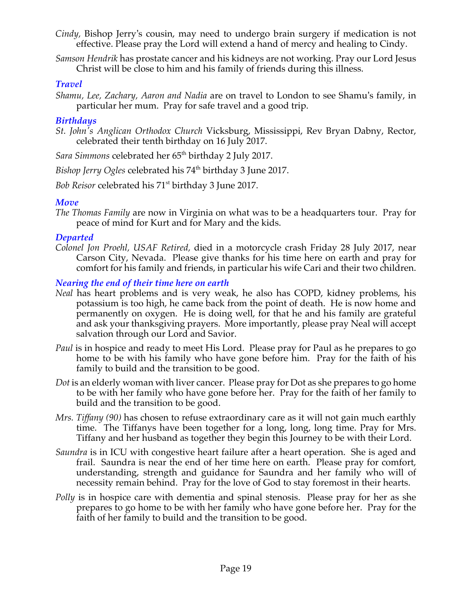- *Cindy,* Bishop Jerry's cousin, may need to undergo brain surgery if medication is not effective. Please pray the Lord will extend a hand of mercy and healing to Cindy.
- *Samson Hendrik* has prostate cancer and his kidneys are not working. Pray our Lord Jesus Christ will be close to him and his family of friends during this illness.

## *Travel*

*Shamu, Lee, Zachary, Aaron and Nadia* are on travel to London to see Shamu's family, in particular her mum. Pray for safe travel and a good trip.

## *Birthdays*

- *St. John's Anglican Orthodox Church* Vicksburg, Mississippi, Rev Bryan Dabny, Rector, celebrated their tenth birthday on 16 July 2017.
- Sara Simmons celebrated her 65<sup>th</sup> birthday 2 July 2017.
- *Bishop Jerry Ogles* celebrated his 74<sup>th</sup> birthday 3 June 2017.
- *Bob Reisor* celebrated his 71st birthday 3 June 2017.

## *Move*

*The Thomas Family* are now in Virginia on what was to be a headquarters tour. Pray for peace of mind for Kurt and for Mary and the kids.

## *Departed*

*Colonel Jon Proehl, USAF Retired,* died in a motorcycle crash Friday 28 July 2017, near Carson City, Nevada. Please give thanks for his time here on earth and pray for comfort for his family and friends, in particular his wife Cari and their two children.

## *Nearing the end of their time here on earth*

- *Neal* has heart problems and is very weak, he also has COPD, kidney problems, his potassium is too high, he came back from the point of death. He is now home and permanently on oxygen. He is doing well, for that he and his family are grateful and ask your thanksgiving prayers. More importantly, please pray Neal will accept salvation through our Lord and Savior.
- *Paul* is in hospice and ready to meet His Lord. Please pray for Paul as he prepares to go home to be with his family who have gone before him. Pray for the faith of his family to build and the transition to be good.
- *Dot* is an elderly woman with liver cancer. Please pray for Dot as she prepares to go home to be with her family who have gone before her. Pray for the faith of her family to build and the transition to be good.
- *Mrs. Tiffany (90)* has chosen to refuse extraordinary care as it will not gain much earthly time. The Tiffanys have been together for a long, long, long time. Pray for Mrs. Tiffany and her husband as together they begin this Journey to be with their Lord.
- *Saundra* is in ICU with congestive heart failure after a heart operation. She is aged and frail. Saundra is near the end of her time here on earth. Please pray for comfort, understanding, strength and guidance for Saundra and her family who will of necessity remain behind. Pray for the love of God to stay foremost in their hearts.
- *Polly* is in hospice care with dementia and spinal stenosis. Please pray for her as she prepares to go home to be with her family who have gone before her. Pray for the faith of her family to build and the transition to be good.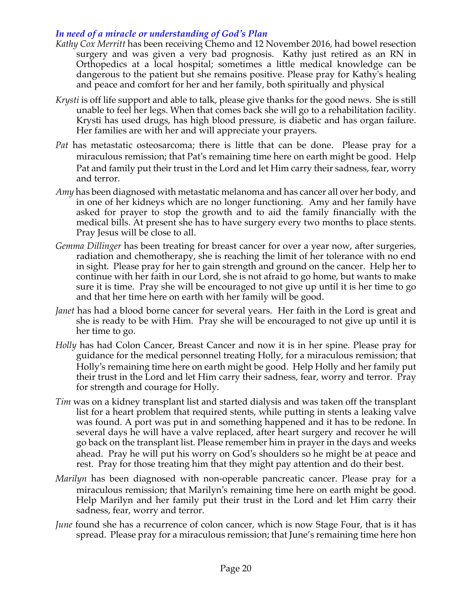## *In need of a miracle or understanding of God's Plan*

- *Kathy Cox Merritt* has been receiving Chemo and 12 November 2016, had bowel resection surgery and was given a very bad prognosis. Kathy just retired as an RN in Orthopedics at a local hospital; sometimes a little medical knowledge can be dangerous to the patient but she remains positive. Please pray for Kathy's healing and peace and comfort for her and her family, both spiritually and physical
- *Krysti* is off life support and able to talk, please give thanks for the good news. She is still unable to feel her legs. When that comes back she will go to a rehabilitation facility. Krysti has used drugs, has high blood pressure, is diabetic and has organ failure. Her families are with her and will appreciate your prayers.
- *Pat* has metastatic osteosarcoma; there is little that can be done. Please pray for a miraculous remission; that Pat's remaining time here on earth might be good. Help Pat and family put their trust in the Lord and let Him carry their sadness, fear, worry and terror.
- *Amy* has been diagnosed with metastatic melanoma and has cancer all over her body, and in one of her kidneys which are no longer functioning. Amy and her family have asked for prayer to stop the growth and to aid the family financially with the medical bills. At present she has to have surgery every two months to place stents. Pray Jesus will be close to all.
- *Gemma Dillinger* has been treating for breast cancer for over a year now, after surgeries, radiation and chemotherapy, she is reaching the limit of her tolerance with no end in sight. Please pray for her to gain strength and ground on the cancer. Help her to continue with her faith in our Lord, she is not afraid to go home, but wants to make sure it is time. Pray she will be encouraged to not give up until it is her time to go and that her time here on earth with her family will be good.
- *Janet* has had a blood borne cancer for several years. Her faith in the Lord is great and she is ready to be with Him. Pray she will be encouraged to not give up until it is her time to go.
- *Holly* has had Colon Cancer, Breast Cancer and now it is in her spine. Please pray for guidance for the medical personnel treating Holly, for a miraculous remission; that Holly's remaining time here on earth might be good. Help Holly and her family put their trust in the Lord and let Him carry their sadness, fear, worry and terror. Pray for strength and courage for Holly.
- *Tim* was on a kidney transplant list and started dialysis and was taken off the transplant list for a heart problem that required stents, while putting in stents a leaking valve was found. A port was put in and something happened and it has to be redone. In several days he will have a valve replaced, after heart surgery and recover he will go back on the transplant list. Please remember him in prayer in the days and weeks ahead. Pray he will put his worry on God's shoulders so he might be at peace and rest. Pray for those treating him that they might pay attention and do their best.
- *Marilyn* has been diagnosed with non-operable pancreatic cancer. Please pray for a miraculous remission; that Marilyn's remaining time here on earth might be good. Help Marilyn and her family put their trust in the Lord and let Him carry their sadness, fear, worry and terror.
- *June* found she has a recurrence of colon cancer, which is now Stage Four, that is it has spread. Please pray for a miraculous remission; that June's remaining time here hon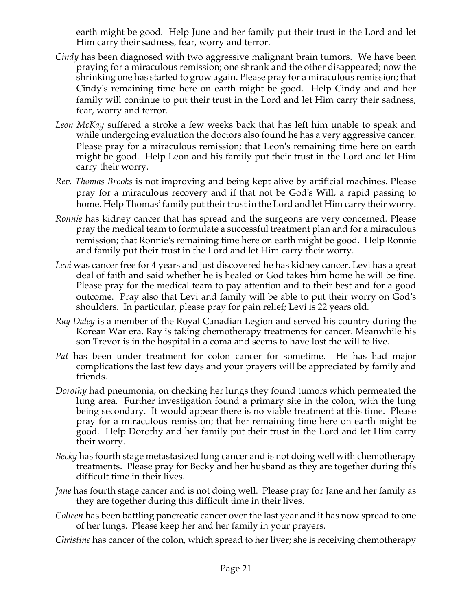earth might be good. Help June and her family put their trust in the Lord and let Him carry their sadness, fear, worry and terror.

- *Cindy* has been diagnosed with two aggressive malignant brain tumors. We have been praying for a miraculous remission; one shrank and the other disappeared; now the shrinking one has started to grow again. Please pray for a miraculous remission; that Cindy's remaining time here on earth might be good. Help Cindy and and her family will continue to put their trust in the Lord and let Him carry their sadness, fear, worry and terror.
- *Leon McKay* suffered a stroke a few weeks back that has left him unable to speak and while undergoing evaluation the doctors also found he has a very aggressive cancer. Please pray for a miraculous remission; that Leon's remaining time here on earth might be good. Help Leon and his family put their trust in the Lord and let Him carry their worry.
- *Rev. Thomas Brooks* is not improving and being kept alive by artificial machines. Please pray for a miraculous recovery and if that not be God's Will, a rapid passing to home. Help Thomas' family put their trust in the Lord and let Him carry their worry.
- *Ronnie* has kidney cancer that has spread and the surgeons are very concerned. Please pray the medical team to formulate a successful treatment plan and for a miraculous remission; that Ronnie's remaining time here on earth might be good. Help Ronnie and family put their trust in the Lord and let Him carry their worry.
- *Levi* was cancer free for 4 years and just discovered he has kidney cancer. Levi has a great deal of faith and said whether he is healed or God takes him home he will be fine. Please pray for the medical team to pay attention and to their best and for a good outcome. Pray also that Levi and family will be able to put their worry on God's shoulders. In particular, please pray for pain relief; Levi is 22 years old.
- *Ray Daley* is a member of the Royal Canadian Legion and served his country during the Korean War era. Ray is taking chemotherapy treatments for cancer. Meanwhile his son Trevor is in the hospital in a coma and seems to have lost the will to live.
- *Pat* has been under treatment for colon cancer for sometime. He has had major complications the last few days and your prayers will be appreciated by family and friends.
- *Dorothy* had pneumonia, on checking her lungs they found tumors which permeated the lung area. Further investigation found a primary site in the colon, with the lung being secondary. It would appear there is no viable treatment at this time. Please pray for a miraculous remission; that her remaining time here on earth might be good. Help Dorothy and her family put their trust in the Lord and let Him carry their worry.
- *Becky* has fourth stage metastasized lung cancer and is not doing well with chemotherapy treatments. Please pray for Becky and her husband as they are together during this difficult time in their lives.
- *Jane* has fourth stage cancer and is not doing well. Please pray for Jane and her family as they are together during this difficult time in their lives.
- *Colleen* has been battling pancreatic cancer over the last year and it has now spread to one of her lungs. Please keep her and her family in your prayers.
- *Christine* has cancer of the colon, which spread to her liver; she is receiving chemotherapy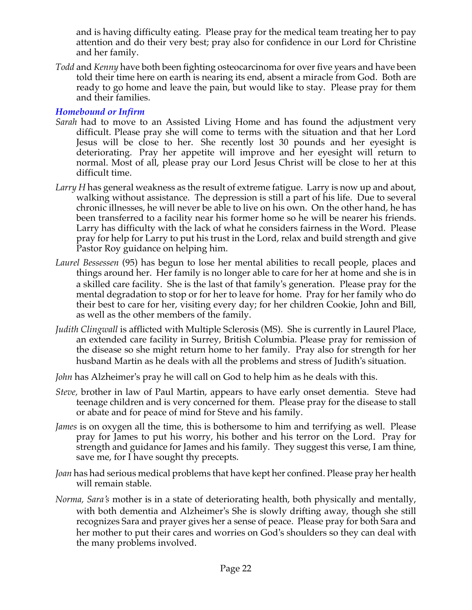and is having difficulty eating. Please pray for the medical team treating her to pay attention and do their very best; pray also for confidence in our Lord for Christine and her family.

*Todd* and *Kenny* have both been fighting osteocarcinoma for over five years and have been told their time here on earth is nearing its end, absent a miracle from God. Both are ready to go home and leave the pain, but would like to stay. Please pray for them and their families.

## *Homebound or Infirm*

- *Sarah* had to move to an Assisted Living Home and has found the adjustment very difficult. Please pray she will come to terms with the situation and that her Lord Jesus will be close to her. She recently lost 30 pounds and her eyesight is deteriorating. Pray her appetite will improve and her eyesight will return to normal. Most of all, please pray our Lord Jesus Christ will be close to her at this difficult time.
- *Larry H* has general weakness as the result of extreme fatigue. Larry is now up and about, walking without assistance. The depression is still a part of his life. Due to several chronic illnesses, he will never be able to live on his own. On the other hand, he has been transferred to a facility near his former home so he will be nearer his friends. Larry has difficulty with the lack of what he considers fairness in the Word. Please pray for help for Larry to put his trust in the Lord, relax and build strength and give Pastor Roy guidance on helping him.
- *Laurel Bessessen* (95) has begun to lose her mental abilities to recall people, places and things around her. Her family is no longer able to care for her at home and she is in a skilled care facility. She is the last of that family's generation. Please pray for the mental degradation to stop or for her to leave for home. Pray for her family who do their best to care for her, visiting every day; for her children Cookie, John and Bill, as well as the other members of the family.
- *Judith Clingwall* is afflicted with Multiple Sclerosis (MS). She is currently in Laurel Place, an extended care facility in Surrey, British Columbia. Please pray for remission of the disease so she might return home to her family. Pray also for strength for her husband Martin as he deals with all the problems and stress of Judith's situation.
- *John* has Alzheimer's pray he will call on God to help him as he deals with this.
- *Steve,* brother in law of Paul Martin, appears to have early onset dementia. Steve had teenage children and is very concerned for them. Please pray for the disease to stall or abate and for peace of mind for Steve and his family.
- *James* is on oxygen all the time, this is bothersome to him and terrifying as well. Please pray for James to put his worry, his bother and his terror on the Lord. Pray for strength and guidance for James and his family. They suggest this verse, I am thine, save me, for I have sought thy precepts.
- *Joan* has had serious medical problems that have kept her confined. Please pray her health will remain stable.
- *Norma, Sara's* mother is in a state of deteriorating health, both physically and mentally, with both dementia and Alzheimer's She is slowly drifting away, though she still recognizes Sara and prayer gives her a sense of peace. Please pray for both Sara and her mother to put their cares and worries on God's shoulders so they can deal with the many problems involved.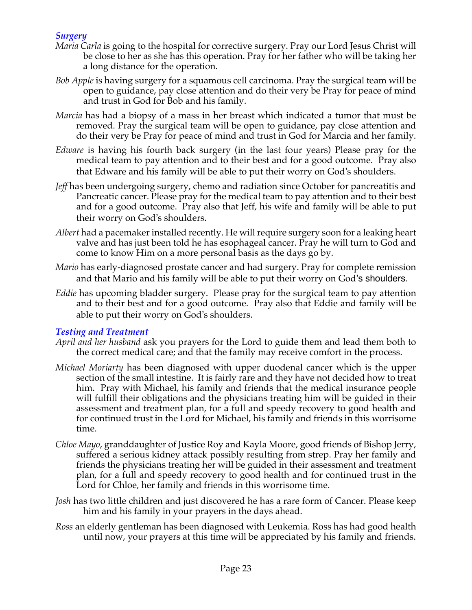## *Surgery*

- *Maria Carla* is going to the hospital for corrective surgery. Pray our Lord Jesus Christ will be close to her as she has this operation. Pray for her father who will be taking her a long distance for the operation.
- *Bob Apple* is having surgery for a squamous cell carcinoma. Pray the surgical team will be open to guidance, pay close attention and do their very be Pray for peace of mind and trust in God for Bob and his family.
- *Marcia* has had a biopsy of a mass in her breast which indicated a tumor that must be removed. Pray the surgical team will be open to guidance, pay close attention and do their very be Pray for peace of mind and trust in God for Marcia and her family.
- *Edware* is having his fourth back surgery (in the last four years) Please pray for the medical team to pay attention and to their best and for a good outcome. Pray also that Edware and his family will be able to put their worry on God's shoulders.
- *Jeff* has been undergoing surgery, chemo and radiation since October for pancreatitis and Pancreatic cancer. Please pray for the medical team to pay attention and to their best and for a good outcome. Pray also that Jeff, his wife and family will be able to put their worry on God's shoulders.
- *Albert* had a pacemaker installed recently. He will require surgery soon for a leaking heart valve and has just been told he has esophageal cancer. Pray he will turn to God and come to know Him on a more personal basis as the days go by.
- *Mario* has early-diagnosed prostate cancer and had surgery. Pray for complete remission and that Mario and his family will be able to put their worry on God's shoulders.
- *Eddie* has upcoming bladder surgery. Please pray for the surgical team to pay attention and to their best and for a good outcome. Pray also that Eddie and family will be able to put their worry on God's shoulders.

## *Testing and Treatment*

- *April and her husband* ask you prayers for the Lord to guide them and lead them both to the correct medical care; and that the family may receive comfort in the process.
- *Michael Moriarty* has been diagnosed with upper duodenal cancer which is the upper section of the small intestine. It is fairly rare and they have not decided how to treat him. Pray with Michael, his family and friends that the medical insurance people will fulfill their obligations and the physicians treating him will be guided in their assessment and treatment plan, for a full and speedy recovery to good health and for continued trust in the Lord for Michael, his family and friends in this worrisome time.
- *Chloe Mayo*, granddaughter of Justice Roy and Kayla Moore, good friends of Bishop Jerry, suffered a serious kidney attack possibly resulting from strep. Pray her family and friends the physicians treating her will be guided in their assessment and treatment plan, for a full and speedy recovery to good health and for continued trust in the Lord for Chloe, her family and friends in this worrisome time.
- *Josh* has two little children and just discovered he has a rare form of Cancer. Please keep him and his family in your prayers in the days ahead.
- *Ross* an elderly gentleman has been diagnosed with Leukemia. Ross has had good health until now, your prayers at this time will be appreciated by his family and friends.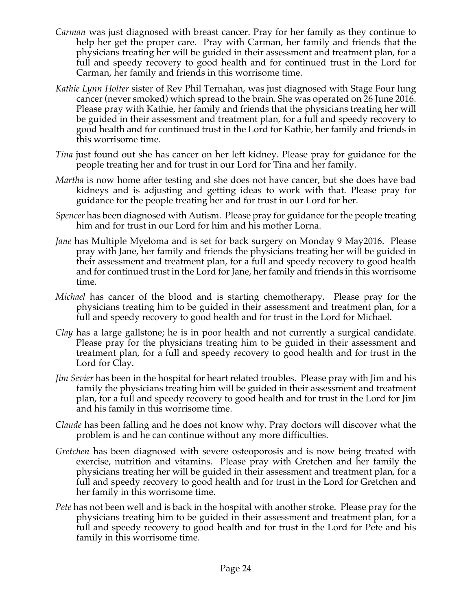- *Carman* was just diagnosed with breast cancer. Pray for her family as they continue to help her get the proper care. Pray with Carman, her family and friends that the physicians treating her will be guided in their assessment and treatment plan, for a full and speedy recovery to good health and for continued trust in the Lord for Carman, her family and friends in this worrisome time.
- *Kathie Lynn Holter* sister of Rev Phil Ternahan, was just diagnosed with Stage Four lung cancer (never smoked) which spread to the brain. She was operated on 26 June 2016. Please pray with Kathie, her family and friends that the physicians treating her will be guided in their assessment and treatment plan, for a full and speedy recovery to good health and for continued trust in the Lord for Kathie, her family and friends in this worrisome time.
- *Tina* just found out she has cancer on her left kidney. Please pray for guidance for the people treating her and for trust in our Lord for Tina and her family.
- *Martha* is now home after testing and she does not have cancer, but she does have bad kidneys and is adjusting and getting ideas to work with that. Please pray for guidance for the people treating her and for trust in our Lord for her.
- *Spencer* has been diagnosed with Autism. Please pray for guidance for the people treating him and for trust in our Lord for him and his mother Lorna.
- *Jane* has Multiple Myeloma and is set for back surgery on Monday 9 May2016. Please pray with Jane, her family and friends the physicians treating her will be guided in their assessment and treatment plan, for a full and speedy recovery to good health and for continued trust in the Lord for Jane, her family and friends in this worrisome time.
- *Michael* has cancer of the blood and is starting chemotherapy. Please pray for the physicians treating him to be guided in their assessment and treatment plan, for a full and speedy recovery to good health and for trust in the Lord for Michael.
- *Clay* has a large gallstone; he is in poor health and not currently a surgical candidate. Please pray for the physicians treating him to be guided in their assessment and treatment plan, for a full and speedy recovery to good health and for trust in the Lord for Clay.
- *Jim Sevier* has been in the hospital for heart related troubles. Please pray with Jim and his family the physicians treating him will be guided in their assessment and treatment plan, for a full and speedy recovery to good health and for trust in the Lord for Jim and his family in this worrisome time.
- *Claude* has been falling and he does not know why. Pray doctors will discover what the problem is and he can continue without any more difficulties.
- *Gretchen* has been diagnosed with severe osteoporosis and is now being treated with exercise, nutrition and vitamins. Please pray with Gretchen and her family the physicians treating her will be guided in their assessment and treatment plan, for a full and speedy recovery to good health and for trust in the Lord for Gretchen and her family in this worrisome time.
- *Pete* has not been well and is back in the hospital with another stroke. Please pray for the physicians treating him to be guided in their assessment and treatment plan, for a full and speedy recovery to good health and for trust in the Lord for Pete and his family in this worrisome time.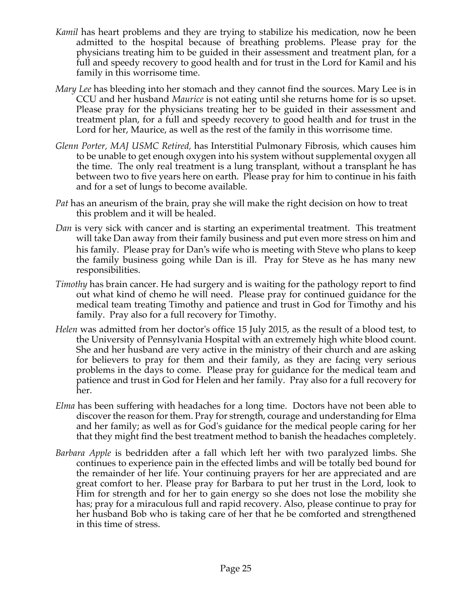- *Kamil* has heart problems and they are trying to stabilize his medication, now he been admitted to the hospital because of breathing problems. Please pray for the physicians treating him to be guided in their assessment and treatment plan, for a full and speedy recovery to good health and for trust in the Lord for Kamil and his family in this worrisome time.
- *Mary Lee* has bleeding into her stomach and they cannot find the sources. Mary Lee is in CCU and her husband *Maurice* is not eating until she returns home for is so upset. Please pray for the physicians treating her to be guided in their assessment and treatment plan, for a full and speedy recovery to good health and for trust in the Lord for her, Maurice, as well as the rest of the family in this worrisome time.
- *Glenn Porter, MAJ USMC Retired,* has Interstitial Pulmonary Fibrosis, which causes him to be unable to get enough oxygen into his system without supplemental oxygen all the time. The only real treatment is a lung transplant, without a transplant he has between two to five years here on earth. Please pray for him to continue in his faith and for a set of lungs to become available.
- *Pat* has an aneurism of the brain, pray she will make the right decision on how to treat this problem and it will be healed.
- *Dan* is very sick with cancer and is starting an experimental treatment. This treatment will take Dan away from their family business and put even more stress on him and his family. Please pray for Dan's wife who is meeting with Steve who plans to keep the family business going while Dan is ill. Pray for Steve as he has many new responsibilities.
- *Timothy* has brain cancer. He had surgery and is waiting for the pathology report to find out what kind of chemo he will need. Please pray for continued guidance for the medical team treating Timothy and patience and trust in God for Timothy and his family. Pray also for a full recovery for Timothy.
- *Helen* was admitted from her doctor's office 15 July 2015, as the result of a blood test, to the University of Pennsylvania Hospital with an extremely high white blood count. She and her husband are very active in the ministry of their church and are asking for believers to pray for them and their family, as they are facing very serious problems in the days to come. Please pray for guidance for the medical team and patience and trust in God for Helen and her family. Pray also for a full recovery for her.
- *Elma* has been suffering with headaches for a long time. Doctors have not been able to discover the reason for them. Pray for strength, courage and understanding for Elma and her family; as well as for God's guidance for the medical people caring for her that they might find the best treatment method to banish the headaches completely.
- *Barbara Apple* is bedridden after a fall which left her with two paralyzed limbs. She continues to experience pain in the effected limbs and will be totally bed bound for the remainder of her life. Your continuing prayers for her are appreciated and are great comfort to her. Please pray for Barbara to put her trust in the Lord, look to Him for strength and for her to gain energy so she does not lose the mobility she has; pray for a miraculous full and rapid recovery. Also, please continue to pray for her husband Bob who is taking care of her that he be comforted and strengthened in this time of stress.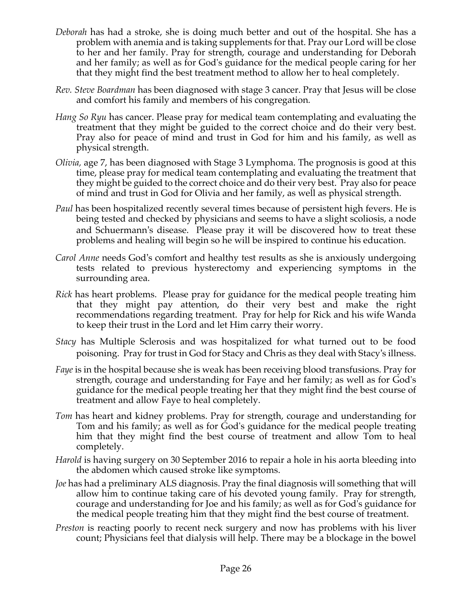- *Deborah* has had a stroke, she is doing much better and out of the hospital. She has a problem with anemia and is taking supplements for that. Pray our Lord will be close to her and her family. Pray for strength, courage and understanding for Deborah and her family; as well as for God's guidance for the medical people caring for her that they might find the best treatment method to allow her to heal completely.
- *Rev. Steve Boardman* has been diagnosed with stage 3 cancer. Pray that Jesus will be close and comfort his family and members of his congregation*.*
- *Hang So Ryu* has cancer. Please pray for medical team contemplating and evaluating the treatment that they might be guided to the correct choice and do their very best. Pray also for peace of mind and trust in God for him and his family, as well as physical strength.
- *Olivia,* age 7, has been diagnosed with Stage 3 Lymphoma. The prognosis is good at this time, please pray for medical team contemplating and evaluating the treatment that they might be guided to the correct choice and do their very best. Pray also for peace of mind and trust in God for Olivia and her family, as well as physical strength.
- *Paul* has been hospitalized recently several times because of persistent high fevers. He is being tested and checked by physicians and seems to have a slight scoliosis, a node and Schuermann's disease. Please pray it will be discovered how to treat these problems and healing will begin so he will be inspired to continue his education.
- *Carol Anne* needs God's comfort and healthy test results as she is anxiously undergoing tests related to previous hysterectomy and experiencing symptoms in the surrounding area.
- *Rick* has heart problems. Please pray for guidance for the medical people treating him that they might pay attention, do their very best and make the right recommendations regarding treatment. Pray for help for Rick and his wife Wanda to keep their trust in the Lord and let Him carry their worry.
- *Stacy* has Multiple Sclerosis and was hospitalized for what turned out to be food poisoning. Pray for trust in God for Stacy and Chris as they deal with Stacy's illness.
- *Faye* is in the hospital because she is weak has been receiving blood transfusions. Pray for strength, courage and understanding for Faye and her family; as well as for God's guidance for the medical people treating her that they might find the best course of treatment and allow Faye to heal completely.
- *Tom* has heart and kidney problems. Pray for strength, courage and understanding for Tom and his family; as well as for God's guidance for the medical people treating him that they might find the best course of treatment and allow Tom to heal completely.
- *Harold* is having surgery on 30 September 2016 to repair a hole in his aorta bleeding into the abdomen which caused stroke like symptoms.
- *Joe* has had a preliminary ALS diagnosis. Pray the final diagnosis will something that will allow him to continue taking care of his devoted young family. Pray for strength, courage and understanding for Joe and his family; as well as for God's guidance for the medical people treating him that they might find the best course of treatment.
- *Preston* is reacting poorly to recent neck surgery and now has problems with his liver count; Physicians feel that dialysis will help. There may be a blockage in the bowel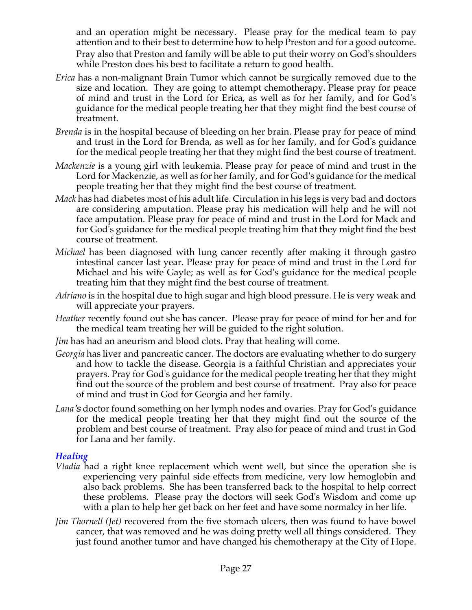and an operation might be necessary. Please pray for the medical team to pay attention and to their best to determine how to help Preston and for a good outcome. Pray also that Preston and family will be able to put their worry on God's shoulders while Preston does his best to facilitate a return to good health.

- *Erica* has a non-malignant Brain Tumor which cannot be surgically removed due to the size and location. They are going to attempt chemotherapy. Please pray for peace of mind and trust in the Lord for Erica, as well as for her family, and for God's guidance for the medical people treating her that they might find the best course of treatment.
- *Brenda* is in the hospital because of bleeding on her brain. Please pray for peace of mind and trust in the Lord for Brenda, as well as for her family, and for God's guidance for the medical people treating her that they might find the best course of treatment.
- *Mackenzie* is a young girl with leukemia. Please pray for peace of mind and trust in the Lord for Mackenzie, as well as for her family, and for God's guidance for the medical people treating her that they might find the best course of treatment.
- *Mack* has had diabetes most of his adult life. Circulation in his legs is very bad and doctors are considering amputation. Please pray his medication will help and he will not face amputation. Please pray for peace of mind and trust in the Lord for Mack and for God's guidance for the medical people treating him that they might find the best course of treatment.
- *Michael* has been diagnosed with lung cancer recently after making it through gastro intestinal cancer last year. Please pray for peace of mind and trust in the Lord for Michael and his wife Gayle; as well as for God's guidance for the medical people treating him that they might find the best course of treatment.
- *Adriano* is in the hospital due to high sugar and high blood pressure. He is very weak and will appreciate your prayers.
- *Heather* recently found out she has cancer. Please pray for peace of mind for her and for the medical team treating her will be guided to the right solution.
- *Jim* has had an aneurism and blood clots. Pray that healing will come.
- *Georgia* has liver and pancreatic cancer. The doctors are evaluating whether to do surgery and how to tackle the disease. Georgia is a faithful Christian and appreciates your prayers. Pray for God's guidance for the medical people treating her that they might find out the source of the problem and best course of treatment. Pray also for peace of mind and trust in God for Georgia and her family.
- *Lana's* doctor found something on her lymph nodes and ovaries. Pray for God's guidance for the medical people treating her that they might find out the source of the problem and best course of treatment. Pray also for peace of mind and trust in God for Lana and her family.

## *Healing*

- *Vladia* had a right knee replacement which went well, but since the operation she is experiencing very painful side effects from medicine, very low hemoglobin and also back problems. She has been transferred back to the hospital to help correct these problems. Please pray the doctors will seek God's Wisdom and come up with a plan to help her get back on her feet and have some normalcy in her life.
- *Jim Thornell (Jet)* recovered from the five stomach ulcers, then was found to have bowel cancer, that was removed and he was doing pretty well all things considered. They just found another tumor and have changed his chemotherapy at the City of Hope.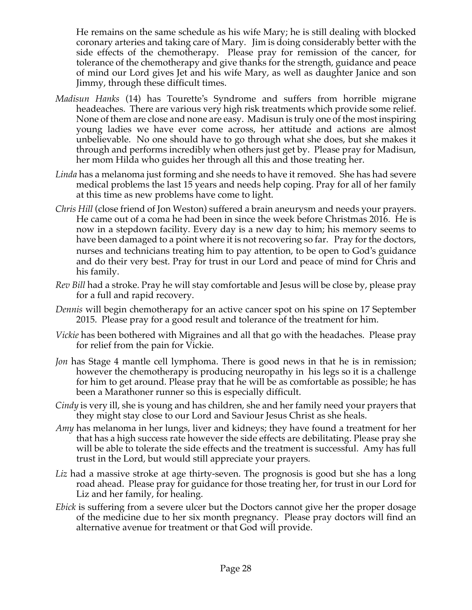He remains on the same schedule as his wife Mary; he is still dealing with blocked coronary arteries and taking care of Mary. Jim is doing considerably better with the side effects of the chemotherapy. Please pray for remission of the cancer, for tolerance of the chemotherapy and give thanks for the strength, guidance and peace of mind our Lord gives Jet and his wife Mary, as well as daughter Janice and son Jimmy, through these difficult times.

- *Madisun Hanks* (14) has Tourette's Syndrome and suffers from horrible migrane headeaches. There are various very high risk treatments which provide some relief. None of them are close and none are easy. Madisun is truly one of the most inspiring young ladies we have ever come across, her attitude and actions are almost unbelievable. No one should have to go through what she does, but she makes it through and performs incredibly when others just get by. Please pray for Madisun, her mom Hilda who guides her through all this and those treating her.
- *Linda* has a melanoma just forming and she needs to have it removed. She has had severe medical problems the last 15 years and needs help coping. Pray for all of her family at this time as new problems have come to light.
- *Chris Hill* (close friend of Jon Weston) suffered a brain aneurysm and needs your prayers. He came out of a coma he had been in since the week before Christmas 2016. He is now in a stepdown facility. Every day is a new day to him; his memory seems to have been damaged to a point where it is not recovering so far. Pray for the doctors, nurses and technicians treating him to pay attention, to be open to God's guidance and do their very best. Pray for trust in our Lord and peace of mind for Chris and his family.
- *Rev Bill* had a stroke. Pray he will stay comfortable and Jesus will be close by, please pray for a full and rapid recovery.
- *Dennis* will begin chemotherapy for an active cancer spot on his spine on 17 September 2015. Please pray for a good result and tolerance of the treatment for him.
- *Vickie* has been bothered with Migraines and all that go with the headaches. Please pray for relief from the pain for Vickie.
- *Jon* has Stage 4 mantle cell lymphoma. There is good news in that he is in remission; however the chemotherapy is producing neuropathy in his legs so it is a challenge for him to get around. Please pray that he will be as comfortable as possible; he has been a Marathoner runner so this is especially difficult.
- *Cindy* is very ill, she is young and has children, she and her family need your prayers that they might stay close to our Lord and Saviour Jesus Christ as she heals.
- *Amy* has melanoma in her lungs, liver and kidneys; they have found a treatment for her that has a high success rate however the side effects are debilitating. Please pray she will be able to tolerate the side effects and the treatment is successful. Amy has full trust in the Lord, but would still appreciate your prayers.
- *Liz* had a massive stroke at age thirty-seven. The prognosis is good but she has a long road ahead. Please pray for guidance for those treating her, for trust in our Lord for Liz and her family, for healing.
- *Ebick* is suffering from a severe ulcer but the Doctors cannot give her the proper dosage of the medicine due to her six month pregnancy. Please pray doctors will find an alternative avenue for treatment or that God will provide.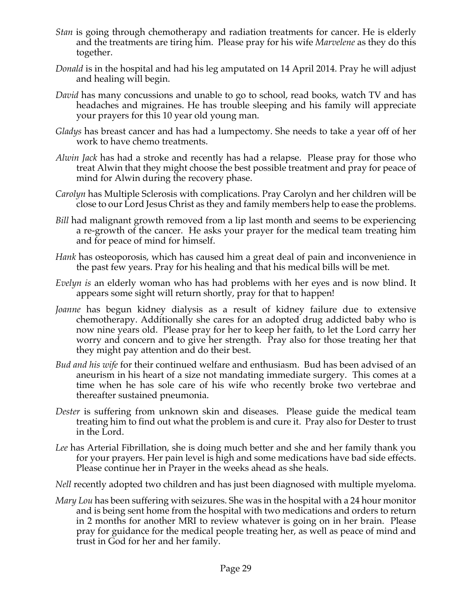- *Stan* is going through chemotherapy and radiation treatments for cancer. He is elderly and the treatments are tiring him. Please pray for his wife *Marvelene* as they do this together.
- *Donald* is in the hospital and had his leg amputated on 14 April 2014. Pray he will adjust and healing will begin.
- *David* has many concussions and unable to go to school, read books, watch TV and has headaches and migraines. He has trouble sleeping and his family will appreciate your prayers for this 10 year old young man.
- *Gladys* has breast cancer and has had a lumpectomy. She needs to take a year off of her work to have chemo treatments.
- *Alwin Jack* has had a stroke and recently has had a relapse. Please pray for those who treat Alwin that they might choose the best possible treatment and pray for peace of mind for Alwin during the recovery phase.
- *Carolyn* has Multiple Sclerosis with complications. Pray Carolyn and her children will be close to our Lord Jesus Christ as they and family members help to ease the problems.
- *Bill* had malignant growth removed from a lip last month and seems to be experiencing a re-growth of the cancer. He asks your prayer for the medical team treating him and for peace of mind for himself.
- *Hank* has osteoporosis, which has caused him a great deal of pain and inconvenience in the past few years. Pray for his healing and that his medical bills will be met.
- *Evelyn is* an elderly woman who has had problems with her eyes and is now blind. It appears some sight will return shortly, pray for that to happen!
- *Joanne* has begun kidney dialysis as a result of kidney failure due to extensive chemotherapy. Additionally she cares for an adopted drug addicted baby who is now nine years old. Please pray for her to keep her faith, to let the Lord carry her worry and concern and to give her strength. Pray also for those treating her that they might pay attention and do their best.
- *Bud and his wife* for their continued welfare and enthusiasm. Bud has been advised of an aneurism in his heart of a size not mandating immediate surgery. This comes at a time when he has sole care of his wife who recently broke two vertebrae and thereafter sustained pneumonia.
- *Dester* is suffering from unknown skin and diseases. Please guide the medical team treating him to find out what the problem is and cure it. Pray also for Dester to trust in the Lord.
- *Lee* has Arterial Fibrillation, she is doing much better and she and her family thank you for your prayers. Her pain level is high and some medications have bad side effects. Please continue her in Prayer in the weeks ahead as she heals.
- *Nell* recently adopted two children and has just been diagnosed with multiple myeloma.
- *Mary Lou* has been suffering with seizures. She was in the hospital with a 24 hour monitor and is being sent home from the hospital with two medications and orders to return in 2 months for another MRI to review whatever is going on in her brain. Please pray for guidance for the medical people treating her, as well as peace of mind and trust in God for her and her family.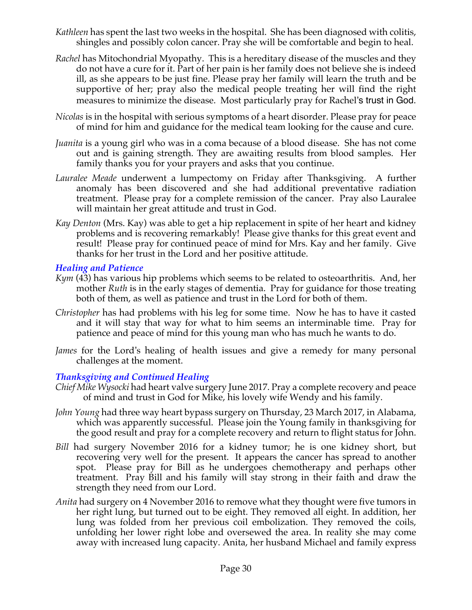- *Kathleen* has spent the last two weeks in the hospital. She has been diagnosed with colitis, shingles and possibly colon cancer. Pray she will be comfortable and begin to heal.
- *Rachel* has Mitochondrial Myopathy. This is a hereditary disease of the muscles and they do not have a cure for it. Part of her pain is her family does not believe she is indeed ill, as she appears to be just fine. Please pray her family will learn the truth and be supportive of her; pray also the medical people treating her will find the right measures to minimize the disease. Most particularly pray for Rachel's trust in God.
- *Nicolas* is in the hospital with serious symptoms of a heart disorder. Please pray for peace of mind for him and guidance for the medical team looking for the cause and cure.
- *Juanita* is a young girl who was in a coma because of a blood disease. She has not come out and is gaining strength. They are awaiting results from blood samples. Her family thanks you for your prayers and asks that you continue.
- *Lauralee Meade* underwent a lumpectomy on Friday after Thanksgiving. A further anomaly has been discovered and she had additional preventative radiation treatment. Please pray for a complete remission of the cancer. Pray also Lauralee will maintain her great attitude and trust in God.
- *Kay Denton* (Mrs. Kay) was able to get a hip replacement in spite of her heart and kidney problems and is recovering remarkably! Please give thanks for this great event and result! Please pray for continued peace of mind for Mrs. Kay and her family. Give thanks for her trust in the Lord and her positive attitude.

#### *Healing and Patience*

- *Kym* (43) has various hip problems which seems to be related to osteoarthritis. And, her mother *Ruth* is in the early stages of dementia. Pray for guidance for those treating both of them, as well as patience and trust in the Lord for both of them.
- *Christopher* has had problems with his leg for some time. Now he has to have it casted and it will stay that way for what to him seems an interminable time. Pray for patience and peace of mind for this young man who has much he wants to do.
- *James* for the Lord's healing of health issues and give a remedy for many personal challenges at the moment.

#### *Thanksgiving and Continued Healing*

- *Chief Mike Wysocki* had heart valve surgery June 2017. Pray a complete recovery and peace of mind and trust in God for Mike, his lovely wife Wendy and his family.
- *John Young* had three way heart bypass surgery on Thursday, 23 March 2017, in Alabama, which was apparently successful. Please join the Young family in thanksgiving for the good result and pray for a complete recovery and return to flight status for John.
- *Bill* had surgery November 2016 for a kidney tumor; he is one kidney short, but recovering very well for the present. It appears the cancer has spread to another spot. Please pray for Bill as he undergoes chemotherapy and perhaps other treatment. Pray Bill and his family will stay strong in their faith and draw the strength they need from our Lord.
- *Anita* had surgery on 4 November 2016 to remove what they thought were five tumors in her right lung, but turned out to be eight. They removed all eight. In addition, her lung was folded from her previous coil embolization. They removed the coils, unfolding her lower right lobe and oversewed the area. In reality she may come away with increased lung capacity. Anita, her husband Michael and family express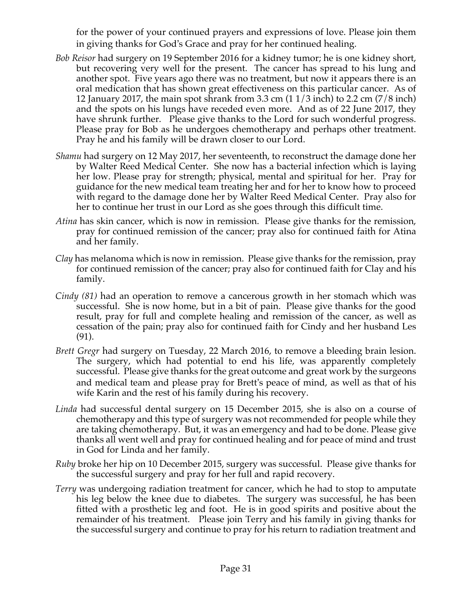for the power of your continued prayers and expressions of love. Please join them in giving thanks for God's Grace and pray for her continued healing.

- *Bob Reisor* had surgery on 19 September 2016 for a kidney tumor; he is one kidney short, but recovering very well for the present. The cancer has spread to his lung and another spot. Five years ago there was no treatment, but now it appears there is an oral medication that has shown great effectiveness on this particular cancer. As of 12 January 2017, the main spot shrank from 3.3 cm (1 1/3 inch) to 2.2 cm (7/8 inch) and the spots on his lungs have receded even more. And as of 22 June 2017, they have shrunk further. Please give thanks to the Lord for such wonderful progress. Please pray for Bob as he undergoes chemotherapy and perhaps other treatment. Pray he and his family will be drawn closer to our Lord.
- *Shamu* had surgery on 12 May 2017, her seventeenth, to reconstruct the damage done her by Walter Reed Medical Center. She now has a bacterial infection which is laying her low. Please pray for strength; physical, mental and spiritual for her. Pray for guidance for the new medical team treating her and for her to know how to proceed with regard to the damage done her by Walter Reed Medical Center. Pray also for her to continue her trust in our Lord as she goes through this difficult time.
- *Atina* has skin cancer, which is now in remission. Please give thanks for the remission, pray for continued remission of the cancer; pray also for continued faith for Atina and her family.
- *Clay* has melanoma which is now in remission. Please give thanks for the remission, pray for continued remission of the cancer; pray also for continued faith for Clay and his family.
- *Cindy (81)* had an operation to remove a cancerous growth in her stomach which was successful. She is now home, but in a bit of pain. Please give thanks for the good result, pray for full and complete healing and remission of the cancer, as well as cessation of the pain; pray also for continued faith for Cindy and her husband Les (91).
- *Brett Gregr* had surgery on Tuesday, 22 March 2016, to remove a bleeding brain lesion. The surgery, which had potential to end his life, was apparently completely successful. Please give thanks for the great outcome and great work by the surgeons and medical team and please pray for Brett's peace of mind, as well as that of his wife Karin and the rest of his family during his recovery.
- *Linda* had successful dental surgery on 15 December 2015, she is also on a course of chemotherapy and this type of surgery was not recommended for people while they are taking chemotherapy. But, it was an emergency and had to be done. Please give thanks all went well and pray for continued healing and for peace of mind and trust in God for Linda and her family.
- *Ruby* broke her hip on 10 December 2015, surgery was successful. Please give thanks for the successful surgery and pray for her full and rapid recovery.
- *Terry* was undergoing radiation treatment for cancer, which he had to stop to amputate his leg below the knee due to diabetes. The surgery was successful, he has been fitted with a prosthetic leg and foot. He is in good spirits and positive about the remainder of his treatment. Please join Terry and his family in giving thanks for the successful surgery and continue to pray for his return to radiation treatment and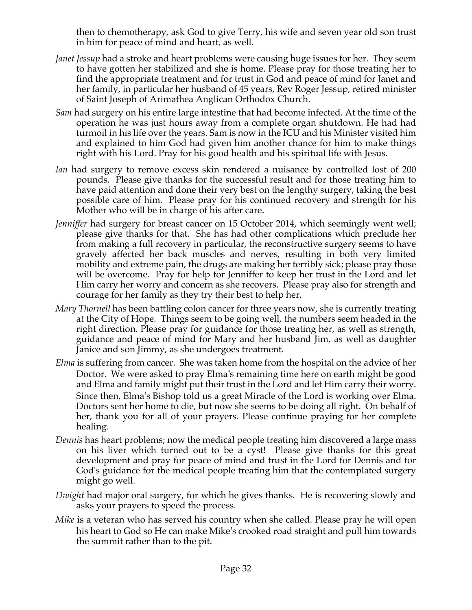then to chemotherapy, ask God to give Terry, his wife and seven year old son trust in him for peace of mind and heart, as well.

- *Janet Jessup* had a stroke and heart problems were causing huge issues for her. They seem to have gotten her stabilized and she is home. Please pray for those treating her to find the appropriate treatment and for trust in God and peace of mind for Janet and her family, in particular her husband of 45 years, Rev Roger Jessup, retired minister of Saint Joseph of Arimathea Anglican Orthodox Church.
- *Sam* had surgery on his entire large intestine that had become infected. At the time of the operation he was just hours away from a complete organ shutdown. He had had turmoil in his life over the years. Sam is now in the ICU and his Minister visited him and explained to him God had given him another chance for him to make things right with his Lord. Pray for his good health and his spiritual life with Jesus.
- *Ian* had surgery to remove excess skin rendered a nuisance by controlled lost of 200 pounds. Please give thanks for the successful result and for those treating him to have paid attention and done their very best on the lengthy surgery, taking the best possible care of him. Please pray for his continued recovery and strength for his Mother who will be in charge of his after care.
- *Jenniffer* had surgery for breast cancer on 15 October 2014, which seemingly went well; please give thanks for that. She has had other complications which preclude her from making a full recovery in particular, the reconstructive surgery seems to have gravely affected her back muscles and nerves, resulting in both very limited mobility and extreme pain, the drugs are making her terribly sick; please pray those will be overcome. Pray for help for Jenniffer to keep her trust in the Lord and let Him carry her worry and concern as she recovers. Please pray also for strength and courage for her family as they try their best to help her.
- *Mary Thornell* has been battling colon cancer for three years now, she is currently treating at the City of Hope. Things seem to be going well, the numbers seem headed in the right direction. Please pray for guidance for those treating her, as well as strength, guidance and peace of mind for Mary and her husband Jim, as well as daughter Janice and son Jimmy, as she undergoes treatment.
- *Elma* is suffering from cancer. She was taken home from the hospital on the advice of her Doctor. We were asked to pray Elma's remaining time here on earth might be good and Elma and family might put their trust in the Lord and let Him carry their worry. Since then, Elma's Bishop told us a great Miracle of the Lord is working over Elma. Doctors sent her home to die, but now she seems to be doing all right. On behalf of her, thank you for all of your prayers. Please continue praying for her complete healing.
- *Dennis* has heart problems; now the medical people treating him discovered a large mass on his liver which turned out to be a cyst! Please give thanks for this great development and pray for peace of mind and trust in the Lord for Dennis and for God's guidance for the medical people treating him that the contemplated surgery might go well.
- *Dwight* had major oral surgery, for which he gives thanks. He is recovering slowly and asks your prayers to speed the process.
- *Mike* is a veteran who has served his country when she called. Please pray he will open his heart to God so He can make Mike's crooked road straight and pull him towards the summit rather than to the pit.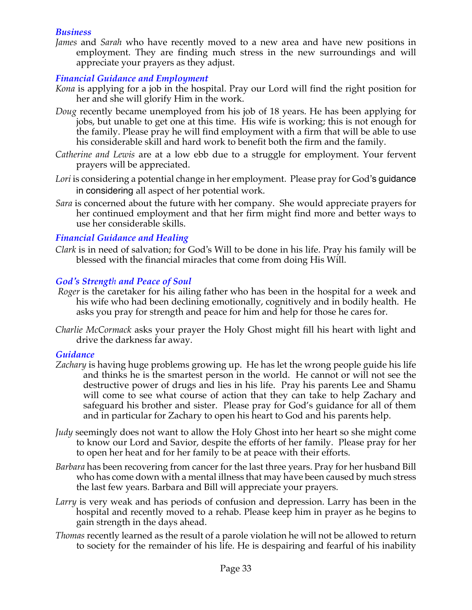#### *Business*

*James* and *Sarah* who have recently moved to a new area and have new positions in employment. They are finding much stress in the new surroundings and will appreciate your prayers as they adjust.

## *Financial Guidance and Employment*

- *Kona* is applying for a job in the hospital. Pray our Lord will find the right position for her and she will glorify Him in the work.
- *Doug* recently became unemployed from his job of 18 years. He has been applying for jobs, but unable to get one at this time. His wife is working; this is not enough for the family. Please pray he will find employment with a firm that will be able to use his considerable skill and hard work to benefit both the firm and the family.
- *Catherine and Lewis* are at a low ebb due to a struggle for employment. Your fervent prayers will be appreciated.
- *Lori* is considering a potential change in her employment. Please pray for God's guidance in considering all aspect of her potential work.
- *Sara* is concerned about the future with her company. She would appreciate prayers for her continued employment and that her firm might find more and better ways to use her considerable skills.

## *Financial Guidance and Healing*

*Clark* is in need of salvation; for God's Will to be done in his life. Pray his family will be blessed with the financial miracles that come from doing His Will.

#### *God's Strength and Peace of Soul*

- *Roger* is the caretaker for his ailing father who has been in the hospital for a week and his wife who had been declining emotionally, cognitively and in bodily health. He asks you pray for strength and peace for him and help for those he cares for.
- *Charlie McCormack* asks your prayer the Holy Ghost might fill his heart with light and drive the darkness far away.

## *Guidance*

- *Zachary* is having huge problems growing up. He has let the wrong people guide his life and thinks he is the smartest person in the world. He cannot or will not see the destructive power of drugs and lies in his life. Pray his parents Lee and Shamu will come to see what course of action that they can take to help Zachary and safeguard his brother and sister. Please pray for God's guidance for all of them and in particular for Zachary to open his heart to God and his parents help.
- *Judy* seemingly does not want to allow the Holy Ghost into her heart so she might come to know our Lord and Savior, despite the efforts of her family. Please pray for her to open her heat and for her family to be at peace with their efforts.
- *Barbara* has been recovering from cancer for the last three years. Pray for her husband Bill who has come down with a mental illness that may have been caused by much stress the last few years. Barbara and Bill will appreciate your prayers.
- *Larry* is very weak and has periods of confusion and depression. Larry has been in the hospital and recently moved to a rehab. Please keep him in prayer as he begins to gain strength in the days ahead.
- *Thomas* recently learned as the result of a parole violation he will not be allowed to return to society for the remainder of his life. He is despairing and fearful of his inability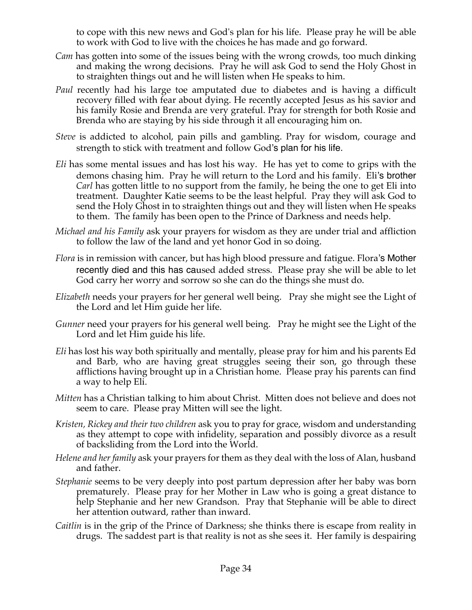to cope with this new news and God's plan for his life. Please pray he will be able to work with God to live with the choices he has made and go forward.

- *Cam* has gotten into some of the issues being with the wrong crowds, too much dinking and making the wrong decisions. Pray he will ask God to send the Holy Ghost in to straighten things out and he will listen when He speaks to him.
- *Paul* recently had his large toe amputated due to diabetes and is having a difficult recovery filled with fear about dying. He recently accepted Jesus as his savior and his family Rosie and Brenda are very grateful. Pray for strength for both Rosie and Brenda who are staying by his side through it all encouraging him on.
- *Steve* is addicted to alcohol, pain pills and gambling. Pray for wisdom, courage and strength to stick with treatment and follow God's plan for his life.
- *Eli* has some mental issues and has lost his way. He has yet to come to grips with the demons chasing him. Pray he will return to the Lord and his family. Eli's brother *Carl* has gotten little to no support from the family, he being the one to get Eli into treatment. Daughter Katie seems to be the least helpful. Pray they will ask God to send the Holy Ghost in to straighten things out and they will listen when He speaks to them. The family has been open to the Prince of Darkness and needs help.
- *Michael and his Family* ask your prayers for wisdom as they are under trial and affliction to follow the law of the land and yet honor God in so doing.
- *Flora* is in remission with cancer, but has high blood pressure and fatigue. Flora's Mother recently died and this has caused added stress. Please pray she will be able to let God carry her worry and sorrow so she can do the things she must do.
- *Elizabeth* needs your prayers for her general well being. Pray she might see the Light of the Lord and let Him guide her life.
- *Gunner* need your prayers for his general well being. Pray he might see the Light of the Lord and let Him guide his life.
- *Eli* has lost his way both spiritually and mentally, please pray for him and his parents Ed and Barb, who are having great struggles seeing their son, go through these afflictions having brought up in a Christian home. Please pray his parents can find a way to help Eli.
- *Mitten* has a Christian talking to him about Christ. Mitten does not believe and does not seem to care. Please pray Mitten will see the light.
- *Kristen, Rickey and their two children* ask you to pray for grace, wisdom and understanding as they attempt to cope with infidelity, separation and possibly divorce as a result of backsliding from the Lord into the World.
- *Helene and her family* ask your prayers for them as they deal with the loss of Alan, husband and father.
- *Stephanie* seems to be very deeply into post partum depression after her baby was born prematurely. Please pray for her Mother in Law who is going a great distance to help Stephanie and her new Grandson. Pray that Stephanie will be able to direct her attention outward, rather than inward.
- *Caitlin* is in the grip of the Prince of Darkness; she thinks there is escape from reality in drugs. The saddest part is that reality is not as she sees it. Her family is despairing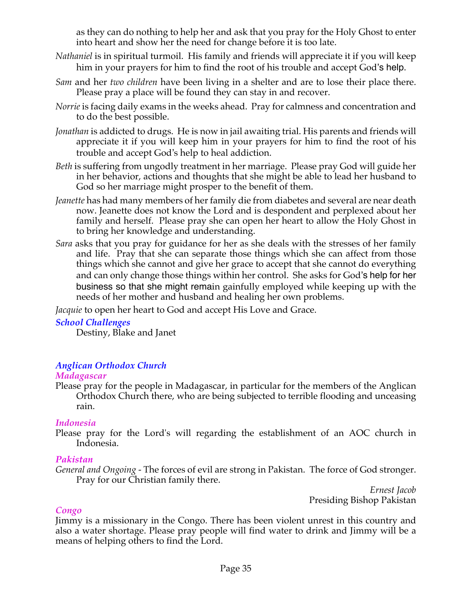as they can do nothing to help her and ask that you pray for the Holy Ghost to enter into heart and show her the need for change before it is too late.

- *Nathaniel* is in spiritual turmoil. His family and friends will appreciate it if you will keep him in your prayers for him to find the root of his trouble and accept God's help.
- *Sam* and her *two children* have been living in a shelter and are to lose their place there. Please pray a place will be found they can stay in and recover.
- *Norrie* is facing daily exams in the weeks ahead. Pray for calmness and concentration and to do the best possible.
- *Jonathan* is addicted to drugs. He is now in jail awaiting trial. His parents and friends will appreciate it if you will keep him in your prayers for him to find the root of his trouble and accept God's help to heal addiction.
- *Beth* is suffering from ungodly treatment in her marriage. Please pray God will guide her in her behavior, actions and thoughts that she might be able to lead her husband to God so her marriage might prosper to the benefit of them.
- *Jeanette* has had many members of her family die from diabetes and several are near death now. Jeanette does not know the Lord and is despondent and perplexed about her family and herself. Please pray she can open her heart to allow the Holy Ghost in to bring her knowledge and understanding.
- *Sara* asks that you pray for guidance for her as she deals with the stresses of her family and life. Pray that she can separate those things which she can affect from those things which she cannot and give her grace to accept that she cannot do everything and can only change those things within her control. She asks for God's help for her business so that she might remain gainfully employed while keeping up with the needs of her mother and husband and healing her own problems.

*Jacquie* to open her heart to God and accept His Love and Grace.

## *School Challenges*

Destiny, Blake and Janet

## *Anglican Orthodox Church*

#### *Madagascar*

Please pray for the people in Madagascar, in particular for the members of the Anglican Orthodox Church there, who are being subjected to terrible flooding and unceasing rain.

#### *Indonesia*

Please pray for the Lord's will regarding the establishment of an AOC church in Indonesia.

## *Pakistan*

*General and Ongoing -* The forces of evil are strong in Pakistan. The force of God stronger. Pray for our Christian family there.

*Ernest Jacob* Presiding Bishop Pakistan

#### *Congo*

Jimmy is a missionary in the Congo. There has been violent unrest in this country and also a water shortage. Please pray people will find water to drink and Jimmy will be a means of helping others to find the Lord.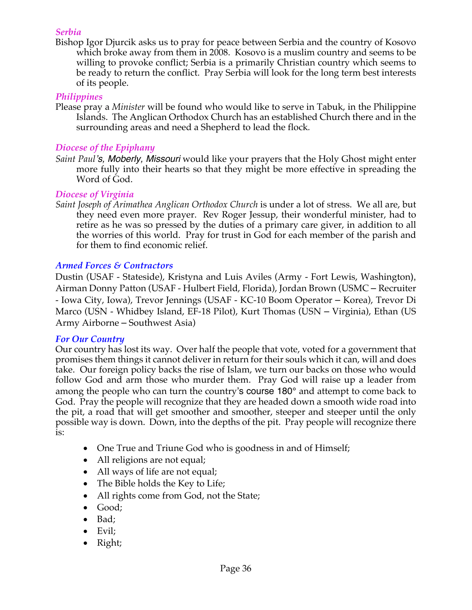#### *Serbia*

Bishop Igor Djurcik asks us to pray for peace between Serbia and the country of Kosovo which broke away from them in 2008. Kosovo is a muslim country and seems to be willing to provoke conflict; Serbia is a primarily Christian country which seems to be ready to return the conflict. Pray Serbia will look for the long term best interests of its people.

#### *Philippines*

Please pray a *Minister* will be found who would like to serve in Tabuk, in the Philippine Islands. The Anglican Orthodox Church has an established Church there and in the surrounding areas and need a Shepherd to lead the flock*.*

#### *Diocese of the Epiphany*

*Saint Paul's, Moberly, Missouri* would like your prayers that the Holy Ghost might enter more fully into their hearts so that they might be more effective in spreading the Word of God.

#### *Diocese of Virginia*

*Saint Joseph of Arimathea Anglican Orthodox Church* is under a lot of stress. We all are, but they need even more prayer. Rev Roger Jessup, their wonderful minister, had to retire as he was so pressed by the duties of a primary care giver, in addition to all the worries of this world. Pray for trust in God for each member of the parish and for them to find economic relief.

## *Armed Forces & Contractors*

Dustin (USAF - Stateside), Kristyna and Luis Aviles (Army - Fort Lewis, Washington), Airman Donny Patton (USAF - Hulbert Field, Florida), Jordan Brown (USMC – Recruiter - Iowa City, Iowa), Trevor Jennings (USAF - KC-10 Boom Operator – Korea), Trevor Di Marco (USN - Whidbey Island, EF-18 Pilot), Kurt Thomas (USN – Virginia), Ethan (US Army Airborne – Southwest Asia)

#### *For Our Country*

Our country has lost its way. Over half the people that vote, voted for a government that promises them things it cannot deliver in return for their souls which it can, will and does take. Our foreign policy backs the rise of Islam, we turn our backs on those who would follow God and arm those who murder them. Pray God will raise up a leader from among the people who can turn the country's course 180° and attempt to come back to God. Pray the people will recognize that they are headed down a smooth wide road into the pit, a road that will get smoother and smoother, steeper and steeper until the only possible way is down. Down, into the depths of the pit. Pray people will recognize there is:

- One True and Triune God who is goodness in and of Himself;
- All religions are not equal;
- All ways of life are not equal;
- The Bible holds the Key to Life;
- All rights come from God, not the State;
- Good;
- Bad;
- Evil;
- Right;